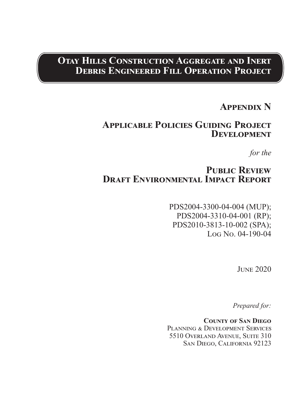## **Otay Hills Construction Aggregate and Inert Debris Engineered Fill Operation Project**

## **Appendix N**

## **Applicable Policies Guiding Project Development**

*for the*

## **Public Review Draft Environmental Impact Report**

PDS2004-3300-04-004 (MUP); PDS2004-3310-04-001 (RP); PDS2010-3813-10-002 (SPA); Log No. 04-190-04

June 2020

*Prepared for:*

**County of San Diego** PLANNING & DEVELOPMENT SERVICES 5510 Overland Avenue, Suite 310 San Diego, California 92123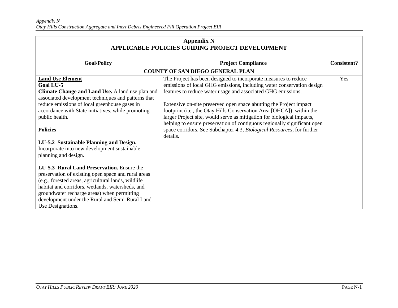| <b>Appendix N</b><br>APPLICABLE POLICIES GUIDING PROJECT DEVELOPMENT                                                                                                                                                                                                                                                                |                                                                                                                                                                                                                                                                                                                                                                                                                                   |                    |
|-------------------------------------------------------------------------------------------------------------------------------------------------------------------------------------------------------------------------------------------------------------------------------------------------------------------------------------|-----------------------------------------------------------------------------------------------------------------------------------------------------------------------------------------------------------------------------------------------------------------------------------------------------------------------------------------------------------------------------------------------------------------------------------|--------------------|
| <b>Goal/Policy</b>                                                                                                                                                                                                                                                                                                                  | <b>Project Compliance</b>                                                                                                                                                                                                                                                                                                                                                                                                         | <b>Consistent?</b> |
|                                                                                                                                                                                                                                                                                                                                     | <b>COUNTY OF SAN DIEGO GENERAL PLAN</b>                                                                                                                                                                                                                                                                                                                                                                                           |                    |
| <b>Land Use Element</b><br><b>Goal LU-5</b><br>Climate Change and Land Use. A land use plan and<br>associated development techniques and patterns that<br>reduce emissions of local greenhouse gases in<br>accordance with State initiatives, while promoting<br>public health.                                                     | The Project has been designed to incorporate measures to reduce<br>emissions of local GHG emissions, including water conservation design<br>features to reduce water usage and associated GHG emissions.<br>Extensive on-site preserved open space abutting the Project impact<br>footprint (i.e., the Otay Hills Conservation Area [OHCA]), within the<br>larger Project site, would serve as mitigation for biological impacts, | Yes                |
| <b>Policies</b><br>LU-5.2 Sustainable Planning and Design.<br>Incorporate into new development sustainable<br>planning and design.                                                                                                                                                                                                  | helping to ensure preservation of contiguous regionally significant open<br>space corridors. See Subchapter 4.3, Biological Resources, for further<br>details.                                                                                                                                                                                                                                                                    |                    |
| LU-5.3 Rural Land Preservation. Ensure the<br>preservation of existing open space and rural areas<br>(e.g., forested areas, agricultural lands, wildlife<br>habitat and corridors, wetlands, watersheds, and<br>groundwater recharge areas) when permitting<br>development under the Rural and Semi-Rural Land<br>Use Designations. |                                                                                                                                                                                                                                                                                                                                                                                                                                   |                    |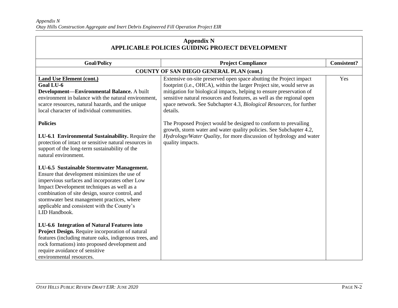| <b>Appendix N</b><br><b>APPLICABLE POLICIES GUIDING PROJECT DEVELOPMENT</b>                                                                                                                                                                                                                                                                                 |                                                                                                                                                                                                                                                                                                                                                                                    |                    |
|-------------------------------------------------------------------------------------------------------------------------------------------------------------------------------------------------------------------------------------------------------------------------------------------------------------------------------------------------------------|------------------------------------------------------------------------------------------------------------------------------------------------------------------------------------------------------------------------------------------------------------------------------------------------------------------------------------------------------------------------------------|--------------------|
| <b>Goal/Policy</b>                                                                                                                                                                                                                                                                                                                                          | <b>Project Compliance</b>                                                                                                                                                                                                                                                                                                                                                          | <b>Consistent?</b> |
|                                                                                                                                                                                                                                                                                                                                                             | <b>COUNTY OF SAN DIEGO GENERAL PLAN (cont.)</b>                                                                                                                                                                                                                                                                                                                                    |                    |
| <b>Land Use Element (cont.)</b><br>Goal LU-6<br>Development-Environmental Balance. A built<br>environment in balance with the natural environment,<br>scarce resources, natural hazards, and the unique<br>local character of individual communities.                                                                                                       | Extensive on-site preserved open space abutting the Project impact<br>footprint (i.e., OHCA), within the larger Project site, would serve as<br>mitigation for biological impacts, helping to ensure preservation of<br>sensitive natural resources and features, as well as the regional open<br>space network. See Subchapter 4.3, Biological Resources, for further<br>details. | Yes                |
| <b>Policies</b><br>LU-6.1 Environmental Sustainability. Require the<br>protection of intact or sensitive natural resources in<br>support of the long-term sustainability of the<br>natural environment.                                                                                                                                                     | The Proposed Project would be designed to conform to prevailing<br>growth, storm water and water quality policies. See Subchapter 4.2,<br>Hydrology/Water Quality, for more discussion of hydrology and water<br>quality impacts.                                                                                                                                                  |                    |
| LU-6.5 Sustainable Stormwater Management.<br>Ensure that development minimizes the use of<br>impervious surfaces and incorporates other Low<br>Impact Development techniques as well as a<br>combination of site design, source control, and<br>stormwater best management practices, where<br>applicable and consistent with the County's<br>LID Handbook. |                                                                                                                                                                                                                                                                                                                                                                                    |                    |
| LU-6.6 Integration of Natural Features into<br>Project Design. Require incorporation of natural<br>features (including mature oaks, indigenous trees, and<br>rock formations) into proposed development and<br>require avoidance of sensitive<br>environmental resources.                                                                                   |                                                                                                                                                                                                                                                                                                                                                                                    |                    |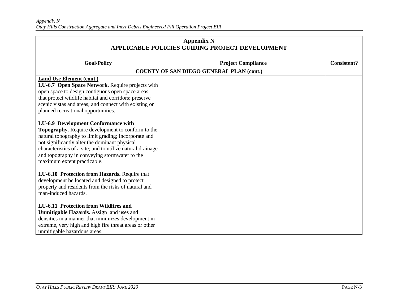| <b>Appendix N</b><br><b>APPLICABLE POLICIES GUIDING PROJECT DEVELOPMENT</b>                                                                                                                                                                                                                                                                     |                                                 |                    |
|-------------------------------------------------------------------------------------------------------------------------------------------------------------------------------------------------------------------------------------------------------------------------------------------------------------------------------------------------|-------------------------------------------------|--------------------|
| <b>Goal/Policy</b>                                                                                                                                                                                                                                                                                                                              | <b>Project Compliance</b>                       | <b>Consistent?</b> |
|                                                                                                                                                                                                                                                                                                                                                 | <b>COUNTY OF SAN DIEGO GENERAL PLAN (cont.)</b> |                    |
| <b>Land Use Element (cont.)</b><br>LU-6.7 Open Space Network. Require projects with<br>open space to design contiguous open space areas<br>that protect wildlife habitat and corridors; preserve<br>scenic vistas and areas; and connect with existing or<br>planned recreational opportunities.                                                |                                                 |                    |
| LU-6.9 Development Conformance with<br>Topography. Require development to conform to the<br>natural topography to limit grading; incorporate and<br>not significantly alter the dominant physical<br>characteristics of a site; and to utilize natural drainage<br>and topography in conveying stormwater to the<br>maximum extent practicable. |                                                 |                    |
| LU-6.10 Protection from Hazards. Require that<br>development be located and designed to protect<br>property and residents from the risks of natural and<br>man-induced hazards.                                                                                                                                                                 |                                                 |                    |
| <b>LU-6.11 Protection from Wildfires and</b><br>Unmitigable Hazards. Assign land uses and<br>densities in a manner that minimizes development in<br>extreme, very high and high fire threat areas or other<br>unmitigable hazardous areas.                                                                                                      |                                                 |                    |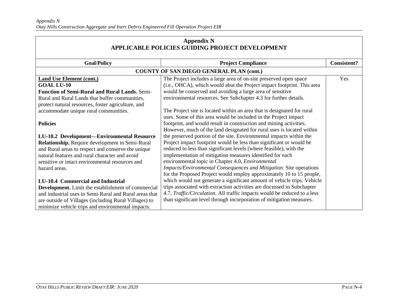| <b>Appendix N</b><br>APPLICABLE POLICIES GUIDING PROJECT DEVELOPMENT |                                                                          |                    |
|----------------------------------------------------------------------|--------------------------------------------------------------------------|--------------------|
| <b>Goal/Policy</b>                                                   | <b>Project Compliance</b>                                                | <b>Consistent?</b> |
|                                                                      | COUNTY OF SAN DIEGO GENERAL PLAN (cont.)                                 |                    |
| <b>Land Use Element (cont.)</b>                                      | The Project includes a large area of on-site preserved open space        | Yes                |
| <b>GOAL LU-10</b>                                                    | (i.e., OHCA), which would abut the Project impact footprint. This area   |                    |
| Function of Semi-Rural and Rural Lands. Semi-                        | would be conserved and avoiding a large area of sensitive                |                    |
| Rural and Rural Lands that buffer communities,                       | environmental resources. See Subchapter 4.3 for further details.         |                    |
| protect natural resources, foster agriculture, and                   |                                                                          |                    |
| accommodate unique rural communities.                                | The Project site is located within an area that is designated for rural  |                    |
|                                                                      | uses. Some of this area would be included in the Project impact          |                    |
| <b>Policies</b>                                                      | footprint, and would result in construction and mining activities.       |                    |
|                                                                      | However, much of the land designated for rural uses is located within    |                    |
| LU-10.2 Development—Environmental Resource                           | the preserved portion of the site. Environmental impacts within the      |                    |
| Relationship. Require development in Semi-Rural                      | Project impact footprint would be less than significant or would be      |                    |
| and Rural areas to respect and conserve the unique                   | reduced to less than significant levels (where feasible), with the       |                    |
| natural features and rural character and avoid                       | implementation of mitigation measures identified for each                |                    |
| sensitive or intact environmental resources and                      | environmental topic in Chapter 4.0, Environmental                        |                    |
| hazard areas.                                                        | Impacts/Environmental Consequences and Mitigation. Site operations       |                    |
|                                                                      | for the Proposed Project would employ approximately 10 to 15 people,     |                    |
| LU-10.4 Commercial and Industrial                                    | which would not generate a significant amount of vehicle trips. Vehicle  |                    |
| Development. Limit the establishment of commercial                   | trips associated with extraction activities are discussed in Subchapter  |                    |
| and industrial uses in Semi-Rural and Rural areas that               | 4.7, Traffic/Circulation. All traffic impacts would be reduced to a less |                    |
| are outside of Villages (including Rural Villages) to                | than significant level through incorporation of mitigation measures.     |                    |
| minimize vehicle trips and environmental impacts.                    |                                                                          |                    |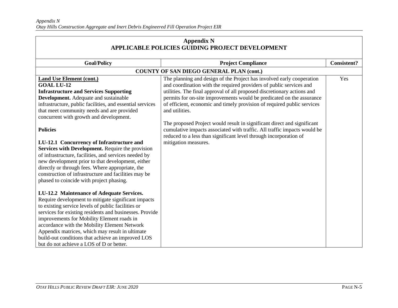| <b>Appendix N</b><br><b>APPLICABLE POLICIES GUIDING PROJECT DEVELOPMENT</b>                                                                                                                                                                                                                                                                                                                                                                                         |                                                                                                                                                                                                                          |                    |
|---------------------------------------------------------------------------------------------------------------------------------------------------------------------------------------------------------------------------------------------------------------------------------------------------------------------------------------------------------------------------------------------------------------------------------------------------------------------|--------------------------------------------------------------------------------------------------------------------------------------------------------------------------------------------------------------------------|--------------------|
| <b>Goal/Policy</b>                                                                                                                                                                                                                                                                                                                                                                                                                                                  | <b>Project Compliance</b>                                                                                                                                                                                                | <b>Consistent?</b> |
|                                                                                                                                                                                                                                                                                                                                                                                                                                                                     | <b>COUNTY OF SAN DIEGO GENERAL PLAN (cont.)</b>                                                                                                                                                                          |                    |
| <b>Land Use Element (cont.)</b>                                                                                                                                                                                                                                                                                                                                                                                                                                     | The planning and design of the Project has involved early cooperation                                                                                                                                                    | Yes                |
| <b>GOAL LU-12</b>                                                                                                                                                                                                                                                                                                                                                                                                                                                   | and coordination with the required providers of public services and                                                                                                                                                      |                    |
| <b>Infrastructure and Services Supporting</b>                                                                                                                                                                                                                                                                                                                                                                                                                       | utilities. The final approval of all proposed discretionary actions and                                                                                                                                                  |                    |
| Development. Adequate and sustainable                                                                                                                                                                                                                                                                                                                                                                                                                               | permits for on-site improvements would be predicated on the assurance                                                                                                                                                    |                    |
| infrastructure, public facilities, and essential services                                                                                                                                                                                                                                                                                                                                                                                                           | of efficient, economic and timely provision of required public services                                                                                                                                                  |                    |
| that meet community needs and are provided                                                                                                                                                                                                                                                                                                                                                                                                                          | and utilities.                                                                                                                                                                                                           |                    |
| concurrent with growth and development.                                                                                                                                                                                                                                                                                                                                                                                                                             |                                                                                                                                                                                                                          |                    |
| <b>Policies</b>                                                                                                                                                                                                                                                                                                                                                                                                                                                     | The proposed Project would result in significant direct and significant<br>cumulative impacts associated with traffic. All traffic impacts would be<br>reduced to a less than significant level through incorporation of |                    |
| LU-12.1 Concurrency of Infrastructure and                                                                                                                                                                                                                                                                                                                                                                                                                           | mitigation measures.                                                                                                                                                                                                     |                    |
| Services with Development. Require the provision                                                                                                                                                                                                                                                                                                                                                                                                                    |                                                                                                                                                                                                                          |                    |
| of infrastructure, facilities, and services needed by                                                                                                                                                                                                                                                                                                                                                                                                               |                                                                                                                                                                                                                          |                    |
| new development prior to that development, either                                                                                                                                                                                                                                                                                                                                                                                                                   |                                                                                                                                                                                                                          |                    |
| directly or through fees. Where appropriate, the                                                                                                                                                                                                                                                                                                                                                                                                                    |                                                                                                                                                                                                                          |                    |
| construction of infrastructure and facilities may be                                                                                                                                                                                                                                                                                                                                                                                                                |                                                                                                                                                                                                                          |                    |
| phased to coincide with project phasing.                                                                                                                                                                                                                                                                                                                                                                                                                            |                                                                                                                                                                                                                          |                    |
| LU-12.2 Maintenance of Adequate Services.<br>Require development to mitigate significant impacts<br>to existing service levels of public facilities or<br>services for existing residents and businesses. Provide<br>improvements for Mobility Element roads in<br>accordance with the Mobility Element Network<br>Appendix matrices, which may result in ultimate<br>build-out conditions that achieve an improved LOS<br>but do not achieve a LOS of D or better. |                                                                                                                                                                                                                          |                    |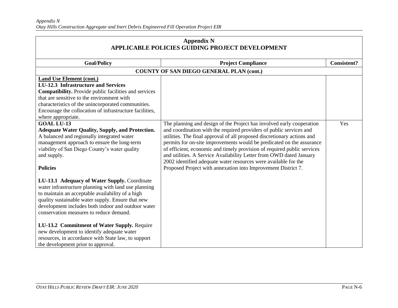| <b>Appendix N</b><br><b>APPLICABLE POLICIES GUIDING PROJECT DEVELOPMENT</b>                                                                                                                                                                                                                                                                                                                                                                                                                              |                                                                                                                                                                                                                                                                                                                                                                                                                                                                                                                                                                                        |                    |
|----------------------------------------------------------------------------------------------------------------------------------------------------------------------------------------------------------------------------------------------------------------------------------------------------------------------------------------------------------------------------------------------------------------------------------------------------------------------------------------------------------|----------------------------------------------------------------------------------------------------------------------------------------------------------------------------------------------------------------------------------------------------------------------------------------------------------------------------------------------------------------------------------------------------------------------------------------------------------------------------------------------------------------------------------------------------------------------------------------|--------------------|
| <b>Goal/Policy</b>                                                                                                                                                                                                                                                                                                                                                                                                                                                                                       | <b>Project Compliance</b>                                                                                                                                                                                                                                                                                                                                                                                                                                                                                                                                                              | <b>Consistent?</b> |
|                                                                                                                                                                                                                                                                                                                                                                                                                                                                                                          | <b>COUNTY OF SAN DIEGO GENERAL PLAN (cont.)</b>                                                                                                                                                                                                                                                                                                                                                                                                                                                                                                                                        |                    |
| Land Use Element (cont.)<br><b>LU-12.3</b> Infrastructure and Services<br><b>Compatibility.</b> Provide public facilities and services<br>that are sensitive to the environment with<br>characteristics of the unincorporated communities.<br>Encourage the collocation of infrastructure facilities,<br>where appropriate.                                                                                                                                                                              |                                                                                                                                                                                                                                                                                                                                                                                                                                                                                                                                                                                        |                    |
| <b>GOAL LU-13</b><br><b>Adequate Water Quality, Supply, and Protection.</b><br>A balanced and regionally integrated water<br>management approach to ensure the long-term<br>viability of San Diego County's water quality<br>and supply.<br><b>Policies</b>                                                                                                                                                                                                                                              | The planning and design of the Project has involved early cooperation<br>and coordination with the required providers of public services and<br>utilities. The final approval of all proposed discretionary actions and<br>permits for on-site improvements would be predicated on the assurance<br>of efficient, economic and timely provision of required public services<br>and utilities. A Service Availability Letter from OWD dated January<br>2002 identified adequate water resources were available for the<br>Proposed Project with annexation into Improvement District 7. | Yes                |
| LU-13.1 Adequacy of Water Supply. Coordinate<br>water infrastructure planning with land use planning<br>to maintain an acceptable availability of a high<br>quality sustainable water supply. Ensure that new<br>development includes both indoor and outdoor water<br>conservation measures to reduce demand.<br>LU-13.2 Commitment of Water Supply. Require<br>new development to identify adequate water<br>resources, in accordance with State law, to support<br>the development prior to approval. |                                                                                                                                                                                                                                                                                                                                                                                                                                                                                                                                                                                        |                    |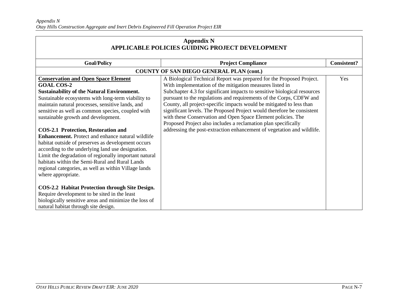| <b>Appendix N</b><br>APPLICABLE POLICIES GUIDING PROJECT DEVELOPMENT                                                                                                                                                                                                                                                                                                                                                                                                                       |                                                                                                                                                                                                                                                                                                                                                                                                                                                                                                                                                                                                                                                   |                    |
|--------------------------------------------------------------------------------------------------------------------------------------------------------------------------------------------------------------------------------------------------------------------------------------------------------------------------------------------------------------------------------------------------------------------------------------------------------------------------------------------|---------------------------------------------------------------------------------------------------------------------------------------------------------------------------------------------------------------------------------------------------------------------------------------------------------------------------------------------------------------------------------------------------------------------------------------------------------------------------------------------------------------------------------------------------------------------------------------------------------------------------------------------------|--------------------|
| <b>Goal/Policy</b>                                                                                                                                                                                                                                                                                                                                                                                                                                                                         | <b>Project Compliance</b>                                                                                                                                                                                                                                                                                                                                                                                                                                                                                                                                                                                                                         | <b>Consistent?</b> |
|                                                                                                                                                                                                                                                                                                                                                                                                                                                                                            | <b>COUNTY OF SAN DIEGO GENERAL PLAN (cont.)</b>                                                                                                                                                                                                                                                                                                                                                                                                                                                                                                                                                                                                   |                    |
| <b>Conservation and Open Space Element</b><br><b>GOAL COS-2</b><br><b>Sustainability of the Natural Environment.</b><br>Sustainable ecosystems with long-term viability to<br>maintain natural processes, sensitive lands, and<br>sensitive as well as common species, coupled with<br>sustainable growth and development.<br><b>COS-2.1 Protection, Restoration and</b><br><b>Enhancement.</b> Protect and enhance natural wildlife<br>habitat outside of preserves as development occurs | A Biological Technical Report was prepared for the Proposed Project.<br>With implementation of the mitigation measures listed in<br>Subchapter 4.3 for significant impacts to sensitive biological resources<br>pursuant to the regulations and requirements of the Corps, CDFW and<br>County, all project-specific impacts would be mitigated to less than<br>significant levels. The Proposed Project would therefore be consistent<br>with these Conservation and Open Space Element policies. The<br>Proposed Project also includes a reclamation plan specifically<br>addressing the post-extraction enhancement of vegetation and wildlife. | Yes                |
| according to the underlying land use designation.<br>Limit the degradation of regionally important natural<br>habitats within the Semi-Rural and Rural Lands<br>regional categories, as well as within Village lands<br>where appropriate.<br>COS-2.2 Habitat Protection through Site Design.<br>Require development to be sited in the least<br>biologically sensitive areas and minimize the loss of<br>natural habitat through site design.                                             |                                                                                                                                                                                                                                                                                                                                                                                                                                                                                                                                                                                                                                                   |                    |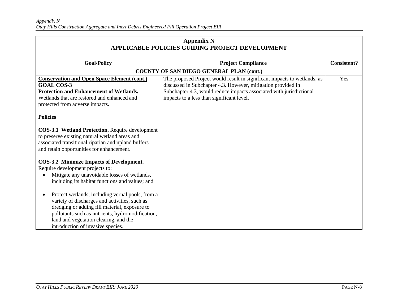| <b>Appendix N</b><br>APPLICABLE POLICIES GUIDING PROJECT DEVELOPMENT                                                                                                                                                                                                                                                                                                                                                                                                    |                                                                                                                                                                                                                                                              |                    |
|-------------------------------------------------------------------------------------------------------------------------------------------------------------------------------------------------------------------------------------------------------------------------------------------------------------------------------------------------------------------------------------------------------------------------------------------------------------------------|--------------------------------------------------------------------------------------------------------------------------------------------------------------------------------------------------------------------------------------------------------------|--------------------|
| <b>Goal/Policy</b>                                                                                                                                                                                                                                                                                                                                                                                                                                                      | <b>Project Compliance</b>                                                                                                                                                                                                                                    | <b>Consistent?</b> |
|                                                                                                                                                                                                                                                                                                                                                                                                                                                                         | COUNTY OF SAN DIEGO GENERAL PLAN (cont.)                                                                                                                                                                                                                     |                    |
| <b>Conservation and Open Space Element (cont.)</b><br><b>GOAL COS-3</b><br><b>Protection and Enhancement of Wetlands.</b><br>Wetlands that are restored and enhanced and<br>protected from adverse impacts.                                                                                                                                                                                                                                                             | The proposed Project would result in significant impacts to wetlands, as<br>discussed in Subchapter 4.3. However, mitigation provided in<br>Subchapter 4.3, would reduce impacts associated with jurisdictional<br>impacts to a less than significant level. | Yes                |
| <b>Policies</b>                                                                                                                                                                                                                                                                                                                                                                                                                                                         |                                                                                                                                                                                                                                                              |                    |
| COS-3.1 Wetland Protection. Require development<br>to preserve existing natural wetland areas and<br>associated transitional riparian and upland buffers<br>and retain opportunities for enhancement.                                                                                                                                                                                                                                                                   |                                                                                                                                                                                                                                                              |                    |
| COS-3.2 Minimize Impacts of Development.<br>Require development projects to:<br>Mitigate any unavoidable losses of wetlands,<br>including its habitat functions and values; and<br>Protect wetlands, including vernal pools, from a<br>variety of discharges and activities, such as<br>dredging or adding fill material, exposure to<br>pollutants such as nutrients, hydromodification,<br>land and vegetation clearing, and the<br>introduction of invasive species. |                                                                                                                                                                                                                                                              |                    |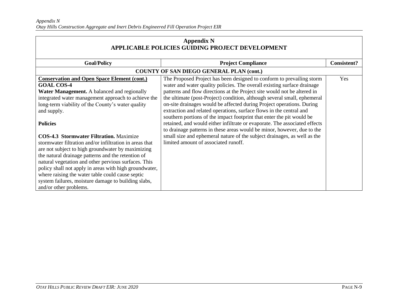| <b>Appendix N</b><br>APPLICABLE POLICIES GUIDING PROJECT DEVELOPMENT                                                                                                                                                                                                                                                                                                                                                                                                        |                                                                                                                                                                                                                                                                                                      |                    |
|-----------------------------------------------------------------------------------------------------------------------------------------------------------------------------------------------------------------------------------------------------------------------------------------------------------------------------------------------------------------------------------------------------------------------------------------------------------------------------|------------------------------------------------------------------------------------------------------------------------------------------------------------------------------------------------------------------------------------------------------------------------------------------------------|--------------------|
| <b>Goal/Policy</b>                                                                                                                                                                                                                                                                                                                                                                                                                                                          | <b>Project Compliance</b>                                                                                                                                                                                                                                                                            | <b>Consistent?</b> |
|                                                                                                                                                                                                                                                                                                                                                                                                                                                                             | <b>COUNTY OF SAN DIEGO GENERAL PLAN (cont.)</b>                                                                                                                                                                                                                                                      |                    |
| <b>Conservation and Open Space Element (cont.)</b><br><b>GOAL COS-4</b>                                                                                                                                                                                                                                                                                                                                                                                                     | The Proposed Project has been designed to conform to prevailing storm<br>water and water quality policies. The overall existing surface drainage                                                                                                                                                     | Yes                |
| Water Management. A balanced and regionally<br>integrated water management approach to achieve the<br>long-term viability of the County's water quality<br>and supply.                                                                                                                                                                                                                                                                                                      | patterns and flow directions at the Project site would not be altered in<br>the ultimate (post-Project) condition, although several small, ephemeral<br>on-site drainages would be affected during Project operations. During<br>extraction and related operations, surface flows in the central and |                    |
| <b>Policies</b>                                                                                                                                                                                                                                                                                                                                                                                                                                                             | southern portions of the impact footprint that enter the pit would be<br>retained, and would either infiltrate or evaporate. The associated effects<br>to drainage patterns in these areas would be minor, however, due to the                                                                       |                    |
| <b>COS-4.3 Stormwater Filtration.</b> Maximize<br>stormwater filtration and/or infiltration in areas that<br>are not subject to high groundwater by maximizing<br>the natural drainage patterns and the retention of<br>natural vegetation and other pervious surfaces. This<br>policy shall not apply in areas with high groundwater,<br>where raising the water table could cause septic<br>system failures, moisture damage to building slabs,<br>and/or other problems. | small size and ephemeral nature of the subject drainages, as well as the<br>limited amount of associated runoff.                                                                                                                                                                                     |                    |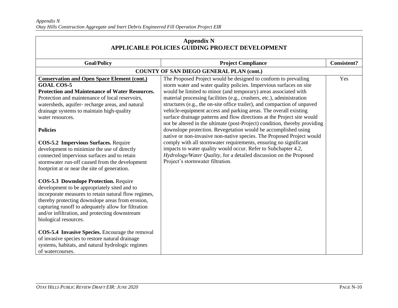| <b>Appendix N</b><br>APPLICABLE POLICIES GUIDING PROJECT DEVELOPMENT                                                                                                                                                                                                                                                                       |                                                                                                                                          |                    |
|--------------------------------------------------------------------------------------------------------------------------------------------------------------------------------------------------------------------------------------------------------------------------------------------------------------------------------------------|------------------------------------------------------------------------------------------------------------------------------------------|--------------------|
| <b>Goal/Policy</b>                                                                                                                                                                                                                                                                                                                         | <b>Project Compliance</b>                                                                                                                | <b>Consistent?</b> |
|                                                                                                                                                                                                                                                                                                                                            | <b>COUNTY OF SAN DIEGO GENERAL PLAN (cont.)</b>                                                                                          |                    |
| <b>Conservation and Open Space Element (cont.)</b>                                                                                                                                                                                                                                                                                         | The Proposed Project would be designed to conform to prevailing                                                                          | Yes                |
| <b>GOAL COS-5</b>                                                                                                                                                                                                                                                                                                                          | storm water and water quality policies. Impervious surfaces on site                                                                      |                    |
| <b>Protection and Maintenance of Water Resources.</b><br>Protection and maintenance of local reservoirs,                                                                                                                                                                                                                                   | would be limited to minor (and temporary) areas associated with<br>material processing facilities (e.g., crushers, etc.), administration |                    |
| watersheds, aquifer-recharge areas, and natural                                                                                                                                                                                                                                                                                            | structures (e.g., the on-site office trailer), and compaction of unpaved                                                                 |                    |
| drainage systems to maintain high-quality                                                                                                                                                                                                                                                                                                  | vehicle-equipment access and parking areas. The overall existing                                                                         |                    |
| water resources.                                                                                                                                                                                                                                                                                                                           | surface drainage patterns and flow directions at the Project site would                                                                  |                    |
|                                                                                                                                                                                                                                                                                                                                            | not be altered in the ultimate (post-Project) condition, thereby providing                                                               |                    |
| <b>Policies</b>                                                                                                                                                                                                                                                                                                                            | downslope protection. Revegetation would be accomplished using                                                                           |                    |
|                                                                                                                                                                                                                                                                                                                                            | native or non-invasive non-native species. The Proposed Project would                                                                    |                    |
| <b>COS-5.2 Impervious Surfaces. Require</b>                                                                                                                                                                                                                                                                                                | comply with all stormwater requirements, ensuring no significant                                                                         |                    |
| development to minimize the use of directly                                                                                                                                                                                                                                                                                                | impacts to water quality would occur. Refer to Subchapter 4.2,                                                                           |                    |
| connected impervious surfaces and to retain                                                                                                                                                                                                                                                                                                | Hydrology/Water Quality, for a detailed discussion on the Proposed                                                                       |                    |
| stormwater run-off caused from the development                                                                                                                                                                                                                                                                                             | Project's stormwater filtration.                                                                                                         |                    |
| footprint at or near the site of generation.                                                                                                                                                                                                                                                                                               |                                                                                                                                          |                    |
| <b>COS-5.3 Downslope Protection. Require</b><br>development to be appropriately sited and to<br>incorporate measures to retain natural flow regimes,<br>thereby protecting downslope areas from erosion,<br>capturing runoff to adequately allow for filtration<br>and/or infiltration, and protecting downstream<br>biological resources. |                                                                                                                                          |                    |
| COS-5.4 Invasive Species. Encourage the removal<br>of invasive species to restore natural drainage<br>systems, habitats, and natural hydrologic regimes<br>of watercourses.                                                                                                                                                                |                                                                                                                                          |                    |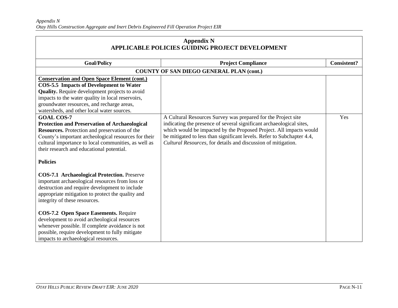| <b>Appendix N</b><br>APPLICABLE POLICIES GUIDING PROJECT DEVELOPMENT                                                                                                                                                                                                                                                                                                                                                                                                                        |                                                                                                                                                                                                                                                                                                                                                        |                    |
|---------------------------------------------------------------------------------------------------------------------------------------------------------------------------------------------------------------------------------------------------------------------------------------------------------------------------------------------------------------------------------------------------------------------------------------------------------------------------------------------|--------------------------------------------------------------------------------------------------------------------------------------------------------------------------------------------------------------------------------------------------------------------------------------------------------------------------------------------------------|--------------------|
| <b>Goal/Policy</b>                                                                                                                                                                                                                                                                                                                                                                                                                                                                          | <b>Project Compliance</b>                                                                                                                                                                                                                                                                                                                              | <b>Consistent?</b> |
|                                                                                                                                                                                                                                                                                                                                                                                                                                                                                             | <b>COUNTY OF SAN DIEGO GENERAL PLAN (cont.)</b>                                                                                                                                                                                                                                                                                                        |                    |
| <b>Conservation and Open Space Element (cont.)</b><br><b>COS-5.5 Impacts of Development to Water</b><br><b>Quality.</b> Require development projects to avoid<br>impacts to the water quality in local reservoirs,<br>groundwater resources, and recharge areas,<br>watersheds, and other local water sources.<br><b>GOAL COS-7</b>                                                                                                                                                         |                                                                                                                                                                                                                                                                                                                                                        | Yes                |
| <b>Protection and Preservation of Archaeological</b><br>Resources. Protection and preservation of the<br>County's important archeological resources for their<br>cultural importance to local communities, as well as<br>their research and educational potential.<br><b>Policies</b>                                                                                                                                                                                                       | A Cultural Resources Survey was prepared for the Project site<br>indicating the presence of several significant archaeological sites,<br>which would be impacted by the Proposed Project. All impacts would<br>be mitigated to less than significant levels. Refer to Subchapter 4.4,<br>Cultural Resources, for details and discussion of mitigation. |                    |
| <b>COS-7.1 Archaeological Protection. Preserve</b><br>important archaeological resources from loss or<br>destruction and require development to include<br>appropriate mitigation to protect the quality and<br>integrity of these resources.<br><b>COS-7.2 Open Space Easements. Require</b><br>development to avoid archeological resources<br>whenever possible. If complete avoidance is not<br>possible, require development to fully mitigate<br>impacts to archaeological resources. |                                                                                                                                                                                                                                                                                                                                                        |                    |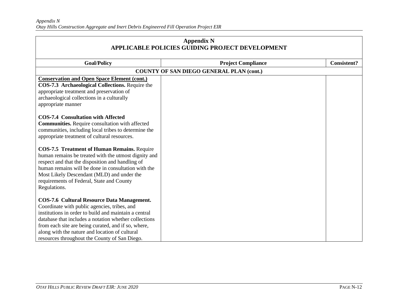| <b>Appendix N</b><br>APPLICABLE POLICIES GUIDING PROJECT DEVELOPMENT                                                                                                                                                                                                                                                                                                                                                                  |                                                 |                    |
|---------------------------------------------------------------------------------------------------------------------------------------------------------------------------------------------------------------------------------------------------------------------------------------------------------------------------------------------------------------------------------------------------------------------------------------|-------------------------------------------------|--------------------|
| <b>Goal/Policy</b>                                                                                                                                                                                                                                                                                                                                                                                                                    | <b>Project Compliance</b>                       | <b>Consistent?</b> |
|                                                                                                                                                                                                                                                                                                                                                                                                                                       | <b>COUNTY OF SAN DIEGO GENERAL PLAN (cont.)</b> |                    |
| <b>Conservation and Open Space Element (cont.)</b><br>COS-7.3 Archaeological Collections. Require the<br>appropriate treatment and preservation of<br>archaeological collections in a culturally<br>appropriate manner<br><b>COS-7.4 Consultation with Affected</b><br><b>Communities.</b> Require consultation with affected<br>communities, including local tribes to determine the<br>appropriate treatment of cultural resources. |                                                 |                    |
| <b>COS-7.5 Treatment of Human Remains. Require</b><br>human remains be treated with the utmost dignity and<br>respect and that the disposition and handling of<br>human remains will be done in consultation with the<br>Most Likely Descendant (MLD) and under the<br>requirements of Federal, State and County<br>Regulations.                                                                                                      |                                                 |                    |
| <b>COS-7.6 Cultural Resource Data Management.</b><br>Coordinate with public agencies, tribes, and<br>institutions in order to build and maintain a central<br>database that includes a notation whether collections<br>from each site are being curated, and if so, where,<br>along with the nature and location of cultural<br>resources throughout the County of San Diego.                                                         |                                                 |                    |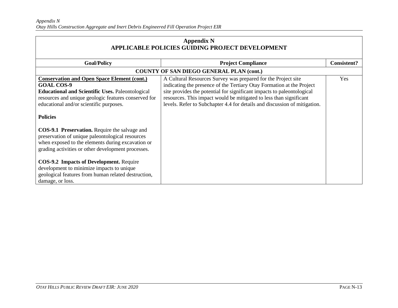| <b>Appendix N</b><br>APPLICABLE POLICIES GUIDING PROJECT DEVELOPMENT                                                                                                                                                                  |                                                                                                                                                                                                                                                                                                                                                                     |                    |
|---------------------------------------------------------------------------------------------------------------------------------------------------------------------------------------------------------------------------------------|---------------------------------------------------------------------------------------------------------------------------------------------------------------------------------------------------------------------------------------------------------------------------------------------------------------------------------------------------------------------|--------------------|
| <b>Goal/Policy</b>                                                                                                                                                                                                                    | <b>Project Compliance</b>                                                                                                                                                                                                                                                                                                                                           | <b>Consistent?</b> |
|                                                                                                                                                                                                                                       | <b>COUNTY OF SAN DIEGO GENERAL PLAN (cont.)</b>                                                                                                                                                                                                                                                                                                                     |                    |
| <b>Conservation and Open Space Element (cont.)</b><br><b>GOAL COS-9</b><br><b>Educational and Scientific Uses. Paleontological</b><br>resources and unique geologic features conserved for<br>educational and/or scientific purposes. | A Cultural Resources Survey was prepared for the Project site<br>indicating the presence of the Tertiary Otay Formation at the Project<br>site provides the potential for significant impacts to paleontological<br>resources. This impact would be mitigated to less than significant<br>levels. Refer to Subchapter 4.4 for details and discussion of mitigation. | Yes                |
| <b>Policies</b>                                                                                                                                                                                                                       |                                                                                                                                                                                                                                                                                                                                                                     |                    |
| COS-9.1 Preservation. Require the salvage and<br>preservation of unique paleontological resources<br>when exposed to the elements during excavation or<br>grading activities or other development processes.                          |                                                                                                                                                                                                                                                                                                                                                                     |                    |
| <b>COS-9.2 Impacts of Development.</b> Require<br>development to minimize impacts to unique<br>geological features from human related destruction,<br>damage, or loss.                                                                |                                                                                                                                                                                                                                                                                                                                                                     |                    |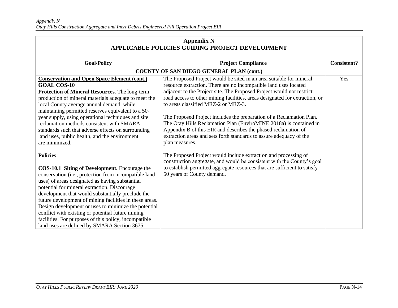| <b>Appendix N</b><br>APPLICABLE POLICIES GUIDING PROJECT DEVELOPMENT                                                                                                                                                                                                                                                                                                                                                                                                                                                                                                      |                                                                                                                                                                                                                                                                                                                                                                                                                                                                                                                                                                                                                                                 |                    |
|---------------------------------------------------------------------------------------------------------------------------------------------------------------------------------------------------------------------------------------------------------------------------------------------------------------------------------------------------------------------------------------------------------------------------------------------------------------------------------------------------------------------------------------------------------------------------|-------------------------------------------------------------------------------------------------------------------------------------------------------------------------------------------------------------------------------------------------------------------------------------------------------------------------------------------------------------------------------------------------------------------------------------------------------------------------------------------------------------------------------------------------------------------------------------------------------------------------------------------------|--------------------|
| <b>Goal/Policy</b>                                                                                                                                                                                                                                                                                                                                                                                                                                                                                                                                                        | <b>Project Compliance</b>                                                                                                                                                                                                                                                                                                                                                                                                                                                                                                                                                                                                                       | <b>Consistent?</b> |
|                                                                                                                                                                                                                                                                                                                                                                                                                                                                                                                                                                           | <b>COUNTY OF SAN DIEGO GENERAL PLAN (cont.)</b>                                                                                                                                                                                                                                                                                                                                                                                                                                                                                                                                                                                                 |                    |
| <b>Conservation and Open Space Element (cont.)</b><br><b>GOAL COS-10</b><br>Protection of Mineral Resources. The long-term<br>production of mineral materials adequate to meet the<br>local County average annual demand, while<br>maintaining permitted reserves equivalent to a 50-<br>year supply, using operational techniques and site<br>reclamation methods consistent with SMARA<br>standards such that adverse effects on surrounding<br>land uses, public health, and the environment<br>are minimized.                                                         | The Proposed Project would be sited in an area suitable for mineral<br>resource extraction. There are no incompatible land uses located<br>adjacent to the Project site. The Proposed Project would not restrict<br>road access to other mining facilities, areas designated for extraction, or<br>to areas classified MRZ-2 or MRZ-3.<br>The Proposed Project includes the preparation of a Reclamation Plan.<br>The Otay Hills Reclamation Plan (EnviroMINE 2018a) is contained in<br>Appendix B of this EIR and describes the phased reclamation of<br>extraction areas and sets forth standards to assure adequacy of the<br>plan measures. | Yes                |
| <b>Policies</b><br><b>COS-10.1 Siting of Development.</b> Encourage the<br>conservation (i.e., protection from incompatible land<br>uses) of areas designated as having substantial<br>potential for mineral extraction. Discourage<br>development that would substantially preclude the<br>future development of mining facilities in these areas.<br>Design development or uses to minimize the potential<br>conflict with existing or potential future mining<br>facilities. For purposes of this policy, incompatible<br>land uses are defined by SMARA Section 3675. | The Proposed Project would include extraction and processing of<br>construction aggregate, and would be consistent with the County's goal<br>to establish permitted aggregate resources that are sufficient to satisfy<br>50 years of County demand.                                                                                                                                                                                                                                                                                                                                                                                            |                    |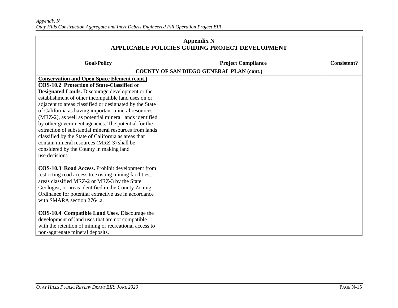| <b>Appendix N</b><br><b>APPLICABLE POLICIES GUIDING PROJECT DEVELOPMENT</b>                                                                                                                                                                                                                                                                                                                                                                                                                                                                                                                                                                                                      |                                                 |                    |
|----------------------------------------------------------------------------------------------------------------------------------------------------------------------------------------------------------------------------------------------------------------------------------------------------------------------------------------------------------------------------------------------------------------------------------------------------------------------------------------------------------------------------------------------------------------------------------------------------------------------------------------------------------------------------------|-------------------------------------------------|--------------------|
| <b>Goal/Policy</b>                                                                                                                                                                                                                                                                                                                                                                                                                                                                                                                                                                                                                                                               | <b>Project Compliance</b>                       | <b>Consistent?</b> |
|                                                                                                                                                                                                                                                                                                                                                                                                                                                                                                                                                                                                                                                                                  | <b>COUNTY OF SAN DIEGO GENERAL PLAN (cont.)</b> |                    |
| <b>Conservation and Open Space Element (cont.)</b><br><b>COS-10.2 Protection of State-Classified or</b><br>Designated Lands. Discourage development or the<br>establishment of other incompatible land uses on or<br>adjacent to areas classified or designated by the State<br>of California as having important mineral resources<br>(MRZ-2), as well as potential mineral lands identified<br>by other government agencies. The potential for the<br>extraction of substantial mineral resources from lands<br>classified by the State of California as areas that<br>contain mineral resources (MRZ-3) shall be<br>considered by the County in making land<br>use decisions. |                                                 |                    |
| COS-10.3 Road Access. Prohibit development from<br>restricting road access to existing mining facilities,<br>areas classified MRZ-2 or MRZ-3 by the State<br>Geologist, or areas identified in the County Zoning<br>Ordinance for potential extractive use in accordance<br>with SMARA section 2764.a.<br>COS-10.4 Compatible Land Uses. Discourage the<br>development of land uses that are not compatible<br>with the retention of mining or recreational access to<br>non-aggregate mineral deposits.                                                                                                                                                                         |                                                 |                    |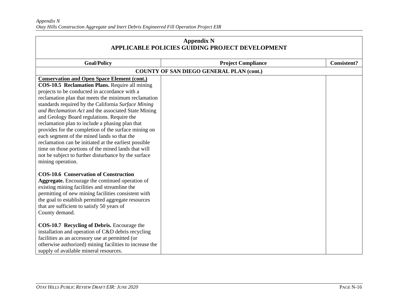| <b>Appendix N</b><br>APPLICABLE POLICIES GUIDING PROJECT DEVELOPMENT                                                                                                                                                                                                                                                                                                                                                                                                                                                                                                                                                                                                                                       |                                                 |                    |
|------------------------------------------------------------------------------------------------------------------------------------------------------------------------------------------------------------------------------------------------------------------------------------------------------------------------------------------------------------------------------------------------------------------------------------------------------------------------------------------------------------------------------------------------------------------------------------------------------------------------------------------------------------------------------------------------------------|-------------------------------------------------|--------------------|
| <b>Goal/Policy</b>                                                                                                                                                                                                                                                                                                                                                                                                                                                                                                                                                                                                                                                                                         | <b>Project Compliance</b>                       | <b>Consistent?</b> |
|                                                                                                                                                                                                                                                                                                                                                                                                                                                                                                                                                                                                                                                                                                            | <b>COUNTY OF SAN DIEGO GENERAL PLAN (cont.)</b> |                    |
| <b>Conservation and Open Space Element (cont.)</b><br>COS-10.5 Reclamation Plans. Require all mining<br>projects to be conducted in accordance with a<br>reclamation plan that meets the minimum reclamation<br>standards required by the California Surface Mining<br>and Reclamation Act and the associated State Mining<br>and Geology Board regulations. Require the<br>reclamation plan to include a phasing plan that<br>provides for the completion of the surface mining on<br>each segment of the mined lands so that the<br>reclamation can be initiated at the earliest possible<br>time on those portions of the mined lands that will<br>not be subject to further disturbance by the surface |                                                 |                    |
| mining operation.<br><b>COS-10.6 Conservation of Construction</b><br><b>Aggregate.</b> Encourage the continued operation of<br>existing mining facilities and streamline the<br>permitting of new mining facilities consistent with<br>the goal to establish permitted aggregate resources<br>that are sufficient to satisfy 50 years of<br>County demand.<br><b>COS-10.7 Recycling of Debris.</b> Encourage the<br>installation and operation of C&D debris recycling<br>facilities as an accessory use at permitted (or<br>otherwise authorized) mining facilities to increase the<br>supply of available mineral resources.                                                                             |                                                 |                    |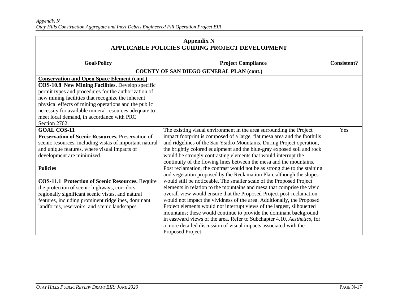| <b>Appendix N</b><br>APPLICABLE POLICIES GUIDING PROJECT DEVELOPMENT                                                                                                                                                                                                                                                                                                                                                                                                                                               |                                                                                                                                                                                                                                                                                                                                                                                                                                                                                                                                                                                                                                                                                                                                                                                                                                                                                                                                                                                                                                                                                                                                                                                                                             |                    |
|--------------------------------------------------------------------------------------------------------------------------------------------------------------------------------------------------------------------------------------------------------------------------------------------------------------------------------------------------------------------------------------------------------------------------------------------------------------------------------------------------------------------|-----------------------------------------------------------------------------------------------------------------------------------------------------------------------------------------------------------------------------------------------------------------------------------------------------------------------------------------------------------------------------------------------------------------------------------------------------------------------------------------------------------------------------------------------------------------------------------------------------------------------------------------------------------------------------------------------------------------------------------------------------------------------------------------------------------------------------------------------------------------------------------------------------------------------------------------------------------------------------------------------------------------------------------------------------------------------------------------------------------------------------------------------------------------------------------------------------------------------------|--------------------|
| <b>Goal/Policy</b>                                                                                                                                                                                                                                                                                                                                                                                                                                                                                                 | <b>Project Compliance</b>                                                                                                                                                                                                                                                                                                                                                                                                                                                                                                                                                                                                                                                                                                                                                                                                                                                                                                                                                                                                                                                                                                                                                                                                   | <b>Consistent?</b> |
|                                                                                                                                                                                                                                                                                                                                                                                                                                                                                                                    | COUNTY OF SAN DIEGO GENERAL PLAN (cont.)                                                                                                                                                                                                                                                                                                                                                                                                                                                                                                                                                                                                                                                                                                                                                                                                                                                                                                                                                                                                                                                                                                                                                                                    |                    |
| <b>Conservation and Open Space Element (cont.)</b><br>COS-10.8 New Mining Facilities. Develop specific<br>permit types and procedures for the authorization of<br>new mining facilities that recognize the inherent<br>physical effects of mining operations and the public<br>necessity for available mineral resources adequate to<br>meet local demand, in accordance with PRC<br>Section 2762.                                                                                                                 |                                                                                                                                                                                                                                                                                                                                                                                                                                                                                                                                                                                                                                                                                                                                                                                                                                                                                                                                                                                                                                                                                                                                                                                                                             |                    |
| <b>GOAL COS-11</b><br><b>Preservation of Scenic Resources.</b> Preservation of<br>scenic resources, including vistas of important natural<br>and unique features, where visual impacts of<br>development are minimized.<br><b>Policies</b><br><b>COS-11.1 Protection of Scenic Resources. Require</b><br>the protection of scenic highways, corridors,<br>regionally significant scenic vistas, and natural<br>features, including prominent ridgelines, dominant<br>landforms, reservoirs, and scenic landscapes. | The existing visual environment in the area surrounding the Project<br>impact footprint is composed of a large, flat mesa area and the foothills<br>and ridgelines of the San Ysidro Mountains. During Project operation,<br>the brightly colored equipment and the blue-gray exposed soil and rock<br>would be strongly contrasting elements that would interrupt the<br>continuity of the flowing lines between the mesa and the mountains.<br>Post reclamation, the contrast would not be as strong due to the staining<br>and vegetation proposed by the Reclamation Plan, although the slopes<br>would still be noticeable. The smaller scale of the Proposed Project<br>elements in relation to the mountains and mesa that comprise the vivid<br>overall view would ensure that the Proposed Project post-reclamation<br>would not impact the vividness of the area. Additionally, the Proposed<br>Project elements would not interrupt views of the largest, silhouetted<br>mountains; these would continue to provide the dominant background<br>in eastward views of the area. Refer to Subchapter 4.10, Aesthetics, for<br>a more detailed discussion of visual impacts associated with the<br>Proposed Project. | Yes                |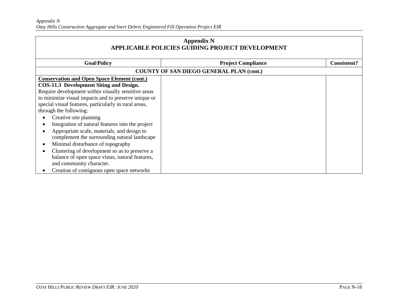| <b>Appendix N</b><br><b>APPLICABLE POLICIES GUIDING PROJECT DEVELOPMENT</b> |                                                 |                    |
|-----------------------------------------------------------------------------|-------------------------------------------------|--------------------|
| <b>Goal/Policy</b>                                                          | <b>Project Compliance</b>                       | <b>Consistent?</b> |
|                                                                             | <b>COUNTY OF SAN DIEGO GENERAL PLAN (cont.)</b> |                    |
| <b>Conservation and Open Space Element (cont.)</b>                          |                                                 |                    |
| COS-11.3 Development Siting and Design.                                     |                                                 |                    |
| Require development within visually sensitive areas                         |                                                 |                    |
| to minimize visual impacts and to preserve unique or                        |                                                 |                    |
| special visual features, particularly in rural areas,                       |                                                 |                    |
| through the following:                                                      |                                                 |                    |
| Creative site planning                                                      |                                                 |                    |
| Integration of natural features into the project                            |                                                 |                    |
| Appropriate scale, materials, and design to                                 |                                                 |                    |
| complement the surrounding natural landscape                                |                                                 |                    |
| Minimal disturbance of topography                                           |                                                 |                    |
| Clustering of development so as to preserve a                               |                                                 |                    |
| balance of open space vistas, natural features,                             |                                                 |                    |
| and community character.                                                    |                                                 |                    |
| Creation of contiguous open space networks                                  |                                                 |                    |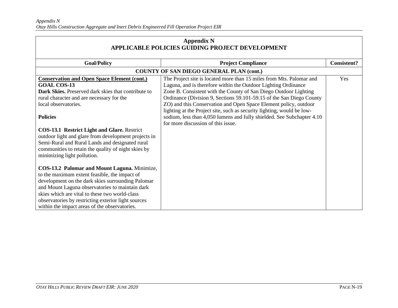| <b>Appendix N</b><br>APPLICABLE POLICIES GUIDING PROJECT DEVELOPMENT                                                                                                                                                                                                                                                                                                                                                                                  |                                                                                                                                                                                                                                                                                                                                                        |                    |
|-------------------------------------------------------------------------------------------------------------------------------------------------------------------------------------------------------------------------------------------------------------------------------------------------------------------------------------------------------------------------------------------------------------------------------------------------------|--------------------------------------------------------------------------------------------------------------------------------------------------------------------------------------------------------------------------------------------------------------------------------------------------------------------------------------------------------|--------------------|
| <b>Goal/Policy</b>                                                                                                                                                                                                                                                                                                                                                                                                                                    | <b>Project Compliance</b>                                                                                                                                                                                                                                                                                                                              | <b>Consistent?</b> |
|                                                                                                                                                                                                                                                                                                                                                                                                                                                       | <b>COUNTY OF SAN DIEGO GENERAL PLAN (cont.)</b>                                                                                                                                                                                                                                                                                                        |                    |
| <b>Conservation and Open Space Element (cont.)</b><br><b>GOAL COS-13</b><br>Dark Skies. Preserved dark skies that contribute to<br>rural character and are necessary for the<br>local observatories.                                                                                                                                                                                                                                                  | The Project site is located more than 15 miles from Mts. Palomar and<br>Laguna, and is therefore within the Outdoor Lighting Ordinance<br>Zone B. Consistent with the County of San Diego Outdoor Lighting<br>Ordinance (Division 9, Sections 59.101-59.15 of the San Diego County<br>ZO) and this Conservation and Open Space Element policy, outdoor | Yes                |
| <b>Policies</b><br><b>COS-13.1 Restrict Light and Glare. Restrict</b><br>outdoor light and glare from development projects in<br>Semi-Rural and Rural Lands and designated rural                                                                                                                                                                                                                                                                      | lighting at the Project site, such as security lighting, would be low-<br>sodium, less than 4,050 lumens and fully shielded. See Subchapter 4.10<br>for more discussion of this issue.                                                                                                                                                                 |                    |
| communities to retain the quality of night skies by<br>minimizing light pollution.<br>COS-13.2 Palomar and Mount Laguna. Minimize,<br>to the maximum extent feasible, the impact of<br>development on the dark skies surrounding Palomar<br>and Mount Laguna observatories to maintain dark<br>skies which are vital to these two world-class<br>observatories by restricting exterior light sources<br>within the impact areas of the observatories. |                                                                                                                                                                                                                                                                                                                                                        |                    |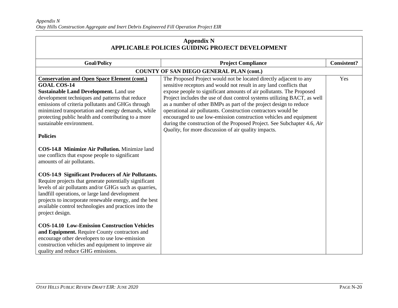| <b>Appendix N</b><br>APPLICABLE POLICIES GUIDING PROJECT DEVELOPMENT                                                                                                                                                                                                                                                                                                                                                                                                                                                                                                                                                                                                                                                                                                                                                                                                                                                                                                                                                                                                                                                                                          |                                                                                                                                                                                                                                                                                                                                                                                                                                                                                                                                                                                                                                               |                    |
|---------------------------------------------------------------------------------------------------------------------------------------------------------------------------------------------------------------------------------------------------------------------------------------------------------------------------------------------------------------------------------------------------------------------------------------------------------------------------------------------------------------------------------------------------------------------------------------------------------------------------------------------------------------------------------------------------------------------------------------------------------------------------------------------------------------------------------------------------------------------------------------------------------------------------------------------------------------------------------------------------------------------------------------------------------------------------------------------------------------------------------------------------------------|-----------------------------------------------------------------------------------------------------------------------------------------------------------------------------------------------------------------------------------------------------------------------------------------------------------------------------------------------------------------------------------------------------------------------------------------------------------------------------------------------------------------------------------------------------------------------------------------------------------------------------------------------|--------------------|
| <b>Goal/Policy</b>                                                                                                                                                                                                                                                                                                                                                                                                                                                                                                                                                                                                                                                                                                                                                                                                                                                                                                                                                                                                                                                                                                                                            | <b>Project Compliance</b>                                                                                                                                                                                                                                                                                                                                                                                                                                                                                                                                                                                                                     | <b>Consistent?</b> |
|                                                                                                                                                                                                                                                                                                                                                                                                                                                                                                                                                                                                                                                                                                                                                                                                                                                                                                                                                                                                                                                                                                                                                               | <b>COUNTY OF SAN DIEGO GENERAL PLAN (cont.)</b>                                                                                                                                                                                                                                                                                                                                                                                                                                                                                                                                                                                               |                    |
| <b>Conservation and Open Space Element (cont.)</b><br><b>GOAL COS-14</b><br><b>Sustainable Land Development.</b> Land use<br>development techniques and patterns that reduce<br>emissions of criteria pollutants and GHGs through<br>minimized transportation and energy demands, while<br>protecting public health and contributing to a more<br>sustainable environment.<br><b>Policies</b><br>COS-14.8 Minimize Air Pollution. Minimize land<br>use conflicts that expose people to significant<br>amounts of air pollutants.<br><b>COS-14.9 Significant Producers of Air Pollutants.</b><br>Require projects that generate potentially significant<br>levels of air pollutants and/or GHGs such as quarries,<br>landfill operations, or large land development<br>projects to incorporate renewable energy, and the best<br>available control technologies and practices into the<br>project design.<br><b>COS-14.10 Low-Emission Construction Vehicles</b><br>and Equipment. Require County contractors and<br>encourage other developers to use low-emission<br>construction vehicles and equipment to improve air<br>quality and reduce GHG emissions. | The Proposed Project would not be located directly adjacent to any<br>sensitive receptors and would not result in any land conflicts that<br>expose people to significant amounts of air pollutants. The Proposed<br>Project includes the use of dust control systems utilizing BACT, as well<br>as a number of other BMPs as part of the project design to reduce<br>operational air pollutants. Construction contractors would be<br>encouraged to use low-emission construction vehicles and equipment<br>during the construction of the Proposed Project. See Subchapter 4.6, Air<br>Quality, for more discussion of air quality impacts. | Yes                |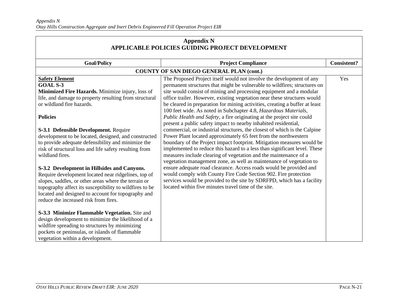| <b>Appendix N</b><br>APPLICABLE POLICIES GUIDING PROJECT DEVELOPMENT                                                                                                                                                                                                                                                 |                                                                                                                                                                                                                                                                                                                                                                                                                                                                                                                                  |                    |
|----------------------------------------------------------------------------------------------------------------------------------------------------------------------------------------------------------------------------------------------------------------------------------------------------------------------|----------------------------------------------------------------------------------------------------------------------------------------------------------------------------------------------------------------------------------------------------------------------------------------------------------------------------------------------------------------------------------------------------------------------------------------------------------------------------------------------------------------------------------|--------------------|
| <b>Goal/Policy</b>                                                                                                                                                                                                                                                                                                   | <b>Project Compliance</b>                                                                                                                                                                                                                                                                                                                                                                                                                                                                                                        | <b>Consistent?</b> |
|                                                                                                                                                                                                                                                                                                                      | <b>COUNTY OF SAN DIEGO GENERAL PLAN (cont.)</b>                                                                                                                                                                                                                                                                                                                                                                                                                                                                                  |                    |
| <b>Safety Element</b><br><b>GOAL S-3</b><br>Minimized Fire Hazards. Minimize injury, loss of<br>life, and damage to property resulting from structural<br>or wildland fire hazards.<br><b>Policies</b>                                                                                                               | The Proposed Project itself would not involve the development of any<br>permanent structures that might be vulnerable to wildfires; structures on<br>site would consist of mining and processing equipment and a modular<br>office trailer. However, existing vegetation near these structures would<br>be cleared in preparation for mining activities, creating a buffer at least<br>100 feet wide. As noted in Subchapter 4.8, Hazardous Materials,<br>Public Health and Safety, a fire originating at the project site could | Yes                |
| S-3.1 Defensible Development. Require<br>development to be located, designed, and constructed<br>to provide adequate defensibility and minimize the<br>risk of structural loss and life safety resulting from<br>wildland fires.                                                                                     | present a public safety impact to nearby inhabited residential,<br>commercial, or industrial structures, the closest of which is the Calpine<br>Power Plant located approximately 65 feet from the northwestern<br>boundary of the Project impact footprint. Mitigation measures would be<br>implemented to reduce this hazard to a less than significant level. These<br>measures include clearing of vegetation and the maintenance of a<br>vegetation management zone, as well as maintenance of vegetation to                |                    |
| S-3.2 Development in Hillsides and Canyons.<br>Require development located near ridgelines, top of<br>slopes, saddles, or other areas where the terrain or<br>topography affect its susceptibility to wildfires to be<br>located and designed to account for topography and<br>reduce the increased risk from fires. | ensure adequate road clearance. Access roads would be provided and<br>would comply with County Fire Code Section 902. Fire protection<br>services would be provided to the site by SDRFPD, which has a facility<br>located within five minutes travel time of the site.                                                                                                                                                                                                                                                          |                    |
| S-3.3 Minimize Flammable Vegetation. Site and<br>design development to minimize the likelihood of a<br>wildfire spreading to structures by minimizing<br>pockets or peninsulas, or islands of flammable<br>vegetation within a development.                                                                          |                                                                                                                                                                                                                                                                                                                                                                                                                                                                                                                                  |                    |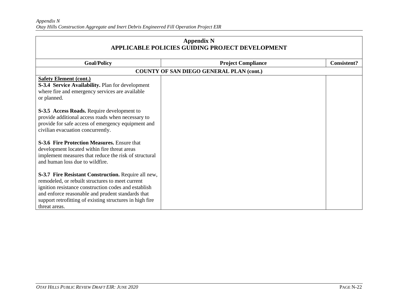| <b>Appendix N</b><br>APPLICABLE POLICIES GUIDING PROJECT DEVELOPMENT                                                                                                                                                                                                                              |                                                 |                    |
|---------------------------------------------------------------------------------------------------------------------------------------------------------------------------------------------------------------------------------------------------------------------------------------------------|-------------------------------------------------|--------------------|
| <b>Goal/Policy</b>                                                                                                                                                                                                                                                                                | <b>Project Compliance</b>                       | <b>Consistent?</b> |
|                                                                                                                                                                                                                                                                                                   | <b>COUNTY OF SAN DIEGO GENERAL PLAN (cont.)</b> |                    |
| <b>Safety Element (cont.)</b><br>S-3.4 Service Availability. Plan for development<br>where fire and emergency services are available<br>or planned.                                                                                                                                               |                                                 |                    |
| S-3.5 Access Roads. Require development to<br>provide additional access roads when necessary to<br>provide for safe access of emergency equipment and<br>civilian evacuation concurrently.                                                                                                        |                                                 |                    |
| S-3.6 Fire Protection Measures. Ensure that<br>development located within fire threat areas<br>implement measures that reduce the risk of structural<br>and human loss due to wildfire.                                                                                                           |                                                 |                    |
| S-3.7 Fire Resistant Construction. Require all new,<br>remodeled, or rebuilt structures to meet current<br>ignition resistance construction codes and establish<br>and enforce reasonable and prudent standards that<br>support retrofitting of existing structures in high fire<br>threat areas. |                                                 |                    |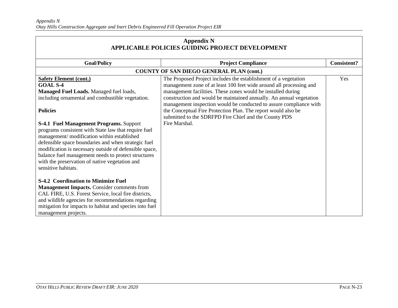| <b>Appendix N</b><br>APPLICABLE POLICIES GUIDING PROJECT DEVELOPMENT                                                                                                                                                                                                                                                                                                                                                                                                                               |                                                                                                                                                                                                                                                                                                                                                                                                                                                                                                |                    |
|----------------------------------------------------------------------------------------------------------------------------------------------------------------------------------------------------------------------------------------------------------------------------------------------------------------------------------------------------------------------------------------------------------------------------------------------------------------------------------------------------|------------------------------------------------------------------------------------------------------------------------------------------------------------------------------------------------------------------------------------------------------------------------------------------------------------------------------------------------------------------------------------------------------------------------------------------------------------------------------------------------|--------------------|
| <b>Goal/Policy</b>                                                                                                                                                                                                                                                                                                                                                                                                                                                                                 | <b>Project Compliance</b>                                                                                                                                                                                                                                                                                                                                                                                                                                                                      | <b>Consistent?</b> |
|                                                                                                                                                                                                                                                                                                                                                                                                                                                                                                    | <b>COUNTY OF SAN DIEGO GENERAL PLAN (cont.)</b>                                                                                                                                                                                                                                                                                                                                                                                                                                                |                    |
| <b>Safety Element (cont.)</b><br><b>GOAL S-4</b><br>Managed Fuel Loads. Managed fuel loads,<br>including ornamental and combustible vegetation.<br><b>Policies</b><br><b>S-4.1 Fuel Management Programs. Support</b><br>programs consistent with State law that require fuel<br>management/modification within established<br>defensible space boundaries and when strategic fuel<br>modification is necessary outside of defensible space,<br>balance fuel management needs to protect structures | The Proposed Project includes the establishment of a vegetation<br>management zone of at least 100 feet wide around all processing and<br>management facilities. These zones would be installed during<br>construction and would be maintained annually. An annual vegetation<br>management inspection would be conducted to assure compliance with<br>the Conceptual Fire Protection Plan. The report would also be<br>submitted to the SDRFPD Fire Chief and the County PDS<br>Fire Marshal. | Yes                |
| with the preservation of native vegetation and<br>sensitive habitats.<br><b>S-4.2 Coordination to Minimize Fuel</b><br><b>Management Impacts.</b> Consider comments from<br>CAL FIRE, U.S. Forest Service, local fire districts,<br>and wildlife agencies for recommendations regarding<br>mitigation for impacts to habitat and species into fuel<br>management projects.                                                                                                                         |                                                                                                                                                                                                                                                                                                                                                                                                                                                                                                |                    |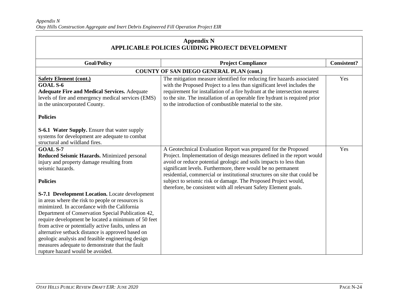| <b>Appendix N</b><br>APPLICABLE POLICIES GUIDING PROJECT DEVELOPMENT |                                                                             |                    |
|----------------------------------------------------------------------|-----------------------------------------------------------------------------|--------------------|
| <b>Goal/Policy</b>                                                   | <b>Project Compliance</b>                                                   | <b>Consistent?</b> |
|                                                                      |                                                                             |                    |
|                                                                      | <b>COUNTY OF SAN DIEGO GENERAL PLAN (cont.)</b>                             |                    |
| <b>Safety Element (cont.)</b>                                        | The mitigation measure identified for reducing fire hazards associated      | Yes                |
| <b>GOAL S-6</b>                                                      | with the Proposed Project to a less than significant level includes the     |                    |
| <b>Adequate Fire and Medical Services. Adequate</b>                  | requirement for installation of a fire hydrant at the intersection nearest  |                    |
| levels of fire and emergency medical services (EMS)                  | to the site. The installation of an operable fire hydrant is required prior |                    |
| in the unincorporated County.                                        | to the introduction of combustible material to the site.                    |                    |
| <b>Policies</b>                                                      |                                                                             |                    |
| <b>S-6.1 Water Supply.</b> Ensure that water supply                  |                                                                             |                    |
| systems for development are adequate to combat                       |                                                                             |                    |
| structural and wildland fires.                                       |                                                                             |                    |
| <b>GOAL S-7</b>                                                      | A Geotechnical Evaluation Report was prepared for the Proposed              | Yes                |
| Reduced Seismic Hazards. Minimized personal                          | Project. Implementation of design measures defined in the report would      |                    |
| injury and property damage resulting from                            | avoid or reduce potential geologic and soils impacts to less than           |                    |
| seismic hazards.                                                     | significant levels. Furthermore, there would be no permanent                |                    |
|                                                                      | residential, commercial or institutional structures on site that could be   |                    |
| <b>Policies</b>                                                      | subject to seismic risk or damage. The Proposed Project would,              |                    |
|                                                                      | therefore, be consistent with all relevant Safety Element goals.            |                    |
| S-7.1 Development Location. Locate development                       |                                                                             |                    |
| in areas where the risk to people or resources is                    |                                                                             |                    |
| minimized. In accordance with the California                         |                                                                             |                    |
| Department of Conservation Special Publication 42,                   |                                                                             |                    |
| require development be located a minimum of 50 feet                  |                                                                             |                    |
| from active or potentially active faults, unless an                  |                                                                             |                    |
| alternative setback distance is approved based on                    |                                                                             |                    |
| geologic analysis and feasible engineering design                    |                                                                             |                    |
| measures adequate to demonstrate that the fault                      |                                                                             |                    |
| rupture hazard would be avoided.                                     |                                                                             |                    |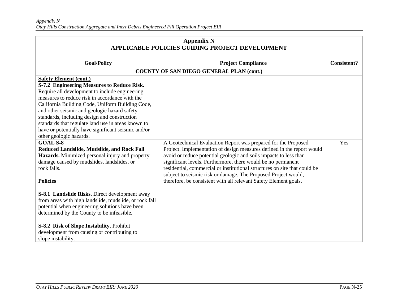| <b>Appendix N</b><br><b>APPLICABLE POLICIES GUIDING PROJECT DEVELOPMENT</b>                                                                                                                                                                                                                                                                                                                                                                                                                                                                                                                                                                                                                                                                                                                                                                                                                                                                                                                                          |                                                                                                                                                                                                                                                                                                                                                                                                                                                                                                  |                    |
|----------------------------------------------------------------------------------------------------------------------------------------------------------------------------------------------------------------------------------------------------------------------------------------------------------------------------------------------------------------------------------------------------------------------------------------------------------------------------------------------------------------------------------------------------------------------------------------------------------------------------------------------------------------------------------------------------------------------------------------------------------------------------------------------------------------------------------------------------------------------------------------------------------------------------------------------------------------------------------------------------------------------|--------------------------------------------------------------------------------------------------------------------------------------------------------------------------------------------------------------------------------------------------------------------------------------------------------------------------------------------------------------------------------------------------------------------------------------------------------------------------------------------------|--------------------|
| <b>Goal/Policy</b>                                                                                                                                                                                                                                                                                                                                                                                                                                                                                                                                                                                                                                                                                                                                                                                                                                                                                                                                                                                                   | <b>Project Compliance</b>                                                                                                                                                                                                                                                                                                                                                                                                                                                                        | <b>Consistent?</b> |
|                                                                                                                                                                                                                                                                                                                                                                                                                                                                                                                                                                                                                                                                                                                                                                                                                                                                                                                                                                                                                      | <b>COUNTY OF SAN DIEGO GENERAL PLAN (cont.)</b>                                                                                                                                                                                                                                                                                                                                                                                                                                                  |                    |
| <b>Safety Element (cont.)</b><br>S-7.2 Engineering Measures to Reduce Risk.<br>Require all development to include engineering<br>measures to reduce risk in accordance with the<br>California Building Code, Uniform Building Code,<br>and other seismic and geologic hazard safety<br>standards, including design and construction<br>standards that regulate land use in areas known to<br>have or potentially have significant seismic and/or<br>other geologic hazards.<br><b>GOAL S-8</b><br>Reduced Landslide, Mudslide, and Rock Fall<br>Hazards. Minimized personal injury and property<br>damage caused by mudslides, landslides, or<br>rock falls.<br><b>Policies</b><br><b>S-8.1 Landslide Risks.</b> Direct development away<br>from areas with high landslide, mudslide, or rock fall<br>potential when engineering solutions have been<br>determined by the County to be infeasible.<br>S-8.2 Risk of Slope Instability. Prohibit<br>development from causing or contributing to<br>slope instability. | A Geotechnical Evaluation Report was prepared for the Proposed<br>Project. Implementation of design measures defined in the report would<br>avoid or reduce potential geologic and soils impacts to less than<br>significant levels. Furthermore, there would be no permanent<br>residential, commercial or institutional structures on site that could be<br>subject to seismic risk or damage. The Proposed Project would,<br>therefore, be consistent with all relevant Safety Element goals. | Yes                |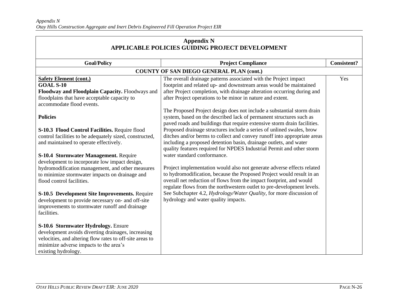| <b>Appendix N</b><br><b>APPLICABLE POLICIES GUIDING PROJECT DEVELOPMENT</b>                                                                                                                                                                                                                            |                                                                                                                                                                                                                                                                                                                                                                                                                                                                                   |                    |
|--------------------------------------------------------------------------------------------------------------------------------------------------------------------------------------------------------------------------------------------------------------------------------------------------------|-----------------------------------------------------------------------------------------------------------------------------------------------------------------------------------------------------------------------------------------------------------------------------------------------------------------------------------------------------------------------------------------------------------------------------------------------------------------------------------|--------------------|
| <b>Goal/Policy</b>                                                                                                                                                                                                                                                                                     | <b>Project Compliance</b>                                                                                                                                                                                                                                                                                                                                                                                                                                                         | <b>Consistent?</b> |
|                                                                                                                                                                                                                                                                                                        | <b>COUNTY OF SAN DIEGO GENERAL PLAN (cont.)</b>                                                                                                                                                                                                                                                                                                                                                                                                                                   |                    |
| <b>Safety Element (cont.)</b><br><b>GOAL S-10</b><br>Floodway and Floodplain Capacity. Floodways and                                                                                                                                                                                                   | The overall drainage patterns associated with the Project impact<br>footprint and related up- and downstream areas would be maintained<br>after Project completion, with drainage alteration occurring during and                                                                                                                                                                                                                                                                 | Yes                |
| floodplains that have acceptable capacity to<br>accommodate flood events.                                                                                                                                                                                                                              | after Project operations to be minor in nature and extent.<br>The Proposed Project design does not include a substantial storm drain                                                                                                                                                                                                                                                                                                                                              |                    |
| <b>Policies</b><br>S-10.3 Flood Control Facilities. Require flood<br>control facilities to be adequately sized, constructed,<br>and maintained to operate effectively.<br>S-10.4 Stormwater Management. Require<br>development to incorporate low impact design,                                       | system, based on the described lack of permanent structures such as<br>paved roads and buildings that require extensive storm drain facilities.<br>Proposed drainage structures include a series of unlined swales, brow<br>ditches and/or berms to collect and convey runoff into appropriate areas<br>including a proposed detention basin, drainage outlets, and water<br>quality features required for NPDES Industrial Permit and other storm<br>water standard conformance. |                    |
| hydromodification management, and other measures<br>to minimize stormwater impacts on drainage and<br>flood control facilities.<br>S-10.5 Development Site Improvements. Require<br>development to provide necessary on- and off-site<br>improvements to stormwater runoff and drainage<br>facilities. | Project implementation would also not generate adverse effects related<br>to hydromodification, because the Proposed Project would result in an<br>overall net reduction of flows from the impact footprint, and would<br>regulate flows from the northwestern outlet to pre-development levels.<br>See Subchapter 4.2, Hydrology/Water Quality, for more discussion of<br>hydrology and water quality impacts.                                                                   |                    |
| S-10.6 Stormwater Hydrology. Ensure<br>development avoids diverting drainages, increasing<br>velocities, and altering flow rates to off-site areas to<br>minimize adverse impacts to the area's<br>existing hydrology.                                                                                 |                                                                                                                                                                                                                                                                                                                                                                                                                                                                                   |                    |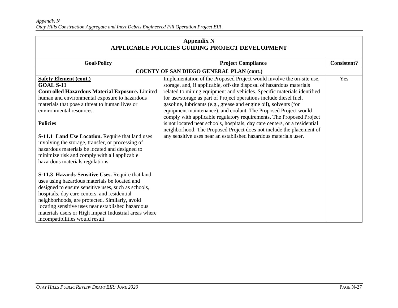| <b>Appendix N</b><br>APPLICABLE POLICIES GUIDING PROJECT DEVELOPMENT                                                                                                                                                                                                                                                                                                                                                                                                                                                |                                                                                                                                                                                                                                                                                                                                                                                                                                                                                                                                                                                                                                                                                                                                           |                    |
|---------------------------------------------------------------------------------------------------------------------------------------------------------------------------------------------------------------------------------------------------------------------------------------------------------------------------------------------------------------------------------------------------------------------------------------------------------------------------------------------------------------------|-------------------------------------------------------------------------------------------------------------------------------------------------------------------------------------------------------------------------------------------------------------------------------------------------------------------------------------------------------------------------------------------------------------------------------------------------------------------------------------------------------------------------------------------------------------------------------------------------------------------------------------------------------------------------------------------------------------------------------------------|--------------------|
| <b>Goal/Policy</b>                                                                                                                                                                                                                                                                                                                                                                                                                                                                                                  | <b>Project Compliance</b>                                                                                                                                                                                                                                                                                                                                                                                                                                                                                                                                                                                                                                                                                                                 | <b>Consistent?</b> |
|                                                                                                                                                                                                                                                                                                                                                                                                                                                                                                                     | <b>COUNTY OF SAN DIEGO GENERAL PLAN (cont.)</b>                                                                                                                                                                                                                                                                                                                                                                                                                                                                                                                                                                                                                                                                                           |                    |
| <b>Safety Element (cont.)</b><br><b>GOAL S-11</b><br><b>Controlled Hazardous Material Exposure.</b> Limited<br>human and environmental exposure to hazardous<br>materials that pose a threat to human lives or<br>environmental resources.<br><b>Policies</b><br><b>S-11.1 Land Use Location.</b> Require that land uses<br>involving the storage, transfer, or processing of<br>hazardous materials be located and designed to<br>minimize risk and comply with all applicable<br>hazardous materials regulations. | Implementation of the Proposed Project would involve the on-site use,<br>storage, and, if applicable, off-site disposal of hazardous materials<br>related to mining equipment and vehicles. Specific materials identified<br>for use/storage as part of Project operations include diesel fuel,<br>gasoline, lubricants (e.g., grease and engine oil), solvents (for<br>equipment maintenance), and coolant. The Proposed Project would<br>comply with applicable regulatory requirements. The Proposed Project<br>is not located near schools, hospitals, day care centers, or a residential<br>neighborhood. The Proposed Project does not include the placement of<br>any sensitive uses near an established hazardous materials user. | Yes                |
| S-11.3 Hazards-Sensitive Uses. Require that land<br>uses using hazardous materials be located and<br>designed to ensure sensitive uses, such as schools,<br>hospitals, day care centers, and residential<br>neighborhoods, are protected. Similarly, avoid<br>locating sensitive uses near established hazardous<br>materials users or High Impact Industrial areas where<br>incompatibilities would result.                                                                                                        |                                                                                                                                                                                                                                                                                                                                                                                                                                                                                                                                                                                                                                                                                                                                           |                    |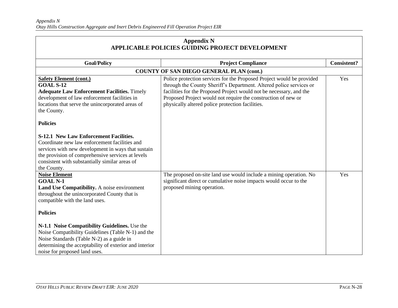| <b>Appendix N</b><br>APPLICABLE POLICIES GUIDING PROJECT DEVELOPMENT                                                                                                                                                                                                       |                                                                                                                                                                                                                                                                                                                                          |                    |
|----------------------------------------------------------------------------------------------------------------------------------------------------------------------------------------------------------------------------------------------------------------------------|------------------------------------------------------------------------------------------------------------------------------------------------------------------------------------------------------------------------------------------------------------------------------------------------------------------------------------------|--------------------|
| <b>Goal/Policy</b>                                                                                                                                                                                                                                                         | <b>Project Compliance</b>                                                                                                                                                                                                                                                                                                                | <b>Consistent?</b> |
|                                                                                                                                                                                                                                                                            | <b>COUNTY OF SAN DIEGO GENERAL PLAN (cont.)</b>                                                                                                                                                                                                                                                                                          |                    |
| <b>Safety Element (cont.)</b><br><b>GOAL S-12</b><br><b>Adequate Law Enforcement Facilities.</b> Timely<br>development of law enforcement facilities in<br>locations that serve the unincorporated areas of<br>the County.                                                 | Police protection services for the Proposed Project would be provided<br>through the County Sheriff's Department. Altered police services or<br>facilities for the Proposed Project would not be necessary, and the<br>Proposed Project would not require the construction of new or<br>physically altered police protection facilities. | Yes                |
| <b>Policies</b>                                                                                                                                                                                                                                                            |                                                                                                                                                                                                                                                                                                                                          |                    |
| <b>S-12.1 New Law Enforcement Facilities.</b><br>Coordinate new law enforcement facilities and<br>services with new development in ways that sustain<br>the provision of comprehensive services at levels<br>consistent with substantially similar areas of<br>the County. |                                                                                                                                                                                                                                                                                                                                          |                    |
| <b>Noise Element</b><br><b>GOAL N-1</b><br>Land Use Compatibility. A noise environment<br>throughout the unincorporated County that is<br>compatible with the land uses.                                                                                                   | The proposed on-site land use would include a mining operation. No<br>significant direct or cumulative noise impacts would occur to the<br>proposed mining operation.                                                                                                                                                                    | Yes                |
| <b>Policies</b>                                                                                                                                                                                                                                                            |                                                                                                                                                                                                                                                                                                                                          |                    |
| N-1.1 Noise Compatibility Guidelines. Use the<br>Noise Compatibility Guidelines (Table N-1) and the<br>Noise Standards (Table N-2) as a guide in<br>determining the acceptability of exterior and interior<br>noise for proposed land uses.                                |                                                                                                                                                                                                                                                                                                                                          |                    |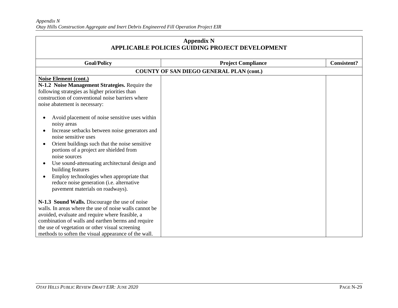| <b>Appendix N</b><br>APPLICABLE POLICIES GUIDING PROJECT DEVELOPMENT                                                                                                                                                                                                                                                                                                                                                                                                                                                                                                                                |                                                 |                    |
|-----------------------------------------------------------------------------------------------------------------------------------------------------------------------------------------------------------------------------------------------------------------------------------------------------------------------------------------------------------------------------------------------------------------------------------------------------------------------------------------------------------------------------------------------------------------------------------------------------|-------------------------------------------------|--------------------|
| <b>Goal/Policy</b>                                                                                                                                                                                                                                                                                                                                                                                                                                                                                                                                                                                  | <b>Project Compliance</b>                       | <b>Consistent?</b> |
|                                                                                                                                                                                                                                                                                                                                                                                                                                                                                                                                                                                                     | <b>COUNTY OF SAN DIEGO GENERAL PLAN (cont.)</b> |                    |
| <b>Noise Element (cont.)</b><br>N-1.2 Noise Management Strategies. Require the<br>following strategies as higher priorities than<br>construction of conventional noise barriers where<br>noise abatement is necessary:<br>Avoid placement of noise sensitive uses within<br>noisy areas<br>Increase setbacks between noise generators and<br>noise sensitive uses<br>Orient buildings such that the noise sensitive<br>portions of a project are shielded from<br>noise sources<br>Use sound-attenuating architectural design and<br>building features<br>Employ technologies when appropriate that |                                                 |                    |
| reduce noise generation (i.e. alternative<br>pavement materials on roadways).<br>N-1.3 Sound Walls. Discourage the use of noise<br>walls. In areas where the use of noise walls cannot be<br>avoided, evaluate and require where feasible, a<br>combination of walls and earthen berms and require<br>the use of vegetation or other visual screening<br>methods to soften the visual appearance of the wall.                                                                                                                                                                                       |                                                 |                    |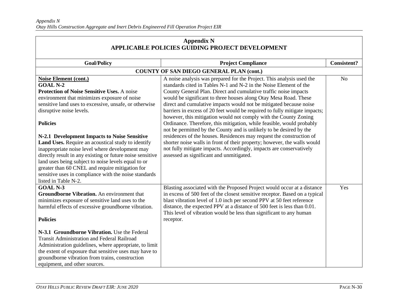| <b>Appendix N</b><br>APPLICABLE POLICIES GUIDING PROJECT DEVELOPMENT                                                                                                                                                                                                                                                                                                                                                                                                                                                                                                                                                                                                     |                                                                                                                                                                                                                                                                                                                                                                                                                                                                                                                                                                                                                                                                                                                                                                                                                                                                                                                                   |                    |
|--------------------------------------------------------------------------------------------------------------------------------------------------------------------------------------------------------------------------------------------------------------------------------------------------------------------------------------------------------------------------------------------------------------------------------------------------------------------------------------------------------------------------------------------------------------------------------------------------------------------------------------------------------------------------|-----------------------------------------------------------------------------------------------------------------------------------------------------------------------------------------------------------------------------------------------------------------------------------------------------------------------------------------------------------------------------------------------------------------------------------------------------------------------------------------------------------------------------------------------------------------------------------------------------------------------------------------------------------------------------------------------------------------------------------------------------------------------------------------------------------------------------------------------------------------------------------------------------------------------------------|--------------------|
| <b>Goal/Policy</b>                                                                                                                                                                                                                                                                                                                                                                                                                                                                                                                                                                                                                                                       | <b>Project Compliance</b>                                                                                                                                                                                                                                                                                                                                                                                                                                                                                                                                                                                                                                                                                                                                                                                                                                                                                                         | <b>Consistent?</b> |
|                                                                                                                                                                                                                                                                                                                                                                                                                                                                                                                                                                                                                                                                          | <b>COUNTY OF SAN DIEGO GENERAL PLAN (cont.)</b>                                                                                                                                                                                                                                                                                                                                                                                                                                                                                                                                                                                                                                                                                                                                                                                                                                                                                   |                    |
| <b>Noise Element (cont.)</b><br><b>GOAL N-2</b><br>Protection of Noise Sensitive Uses. A noise<br>environment that minimizes exposure of noise<br>sensitive land uses to excessive, unsafe, or otherwise<br>disruptive noise levels.<br><b>Policies</b><br>N-2.1 Development Impacts to Noise Sensitive<br>Land Uses. Require an acoustical study to identify<br>inappropriate noise level where development may<br>directly result in any existing or future noise sensitive<br>land uses being subject to noise levels equal to or<br>greater than 60 CNEL and require mitigation for<br>sensitive uses in compliance with the noise standards<br>listed in Table N-2. | A noise analysis was prepared for the Project. This analysis used the<br>standards cited in Tables N-1 and N-2 in the Noise Element of the<br>County General Plan. Direct and cumulative traffic noise impacts<br>would be significant to three houses along Otay Mesa Road. These<br>direct and cumulative impacts would not be mitigated because noise<br>barriers in excess of 20 feet would be required to fully mitigate impacts;<br>however, this mitigation would not comply with the County Zoning<br>Ordinance. Therefore, this mitigation, while feasible, would probably<br>not be permitted by the County and is unlikely to be desired by the<br>residences of the houses. Residences may request the construction of<br>shorter noise walls in front of their property; however, the walls would<br>not fully mitigate impacts. Accordingly, impacts are conservatively<br>assessed as significant and unmitigated. | N <sub>o</sub>     |
| <b>GOAL N-3</b><br>Groundborne Vibration. An environment that<br>minimizes exposure of sensitive land uses to the<br>harmful effects of excessive groundborne vibration.<br><b>Policies</b><br>N-3.1 Groundborne Vibration. Use the Federal<br><b>Transit Administration and Federal Railroad</b><br>Administration guidelines, where appropriate, to limit<br>the extent of exposure that sensitive uses may have to<br>groundborne vibration from trains, construction<br>equipment, and other sources.                                                                                                                                                                | Blasting associated with the Proposed Project would occur at a distance<br>in excess of 500 feet of the closest sensitive receptor. Based on a typical<br>blast vibration level of 1.0 inch per second PPV at 50 feet reference<br>distance, the expected PPV at a distance of 500 feet is less than 0.01.<br>This level of vibration would be less than significant to any human<br>receptor.                                                                                                                                                                                                                                                                                                                                                                                                                                                                                                                                    | Yes                |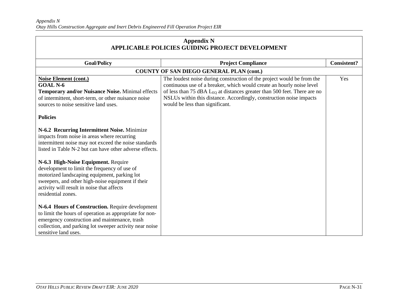| <b>Appendix N</b><br><b>APPLICABLE POLICIES GUIDING PROJECT DEVELOPMENT</b>                                                                                                                                                                                                                                                                                                                                              |                                                                                                                                                                                                                                                                                                                                                   |                    |
|--------------------------------------------------------------------------------------------------------------------------------------------------------------------------------------------------------------------------------------------------------------------------------------------------------------------------------------------------------------------------------------------------------------------------|---------------------------------------------------------------------------------------------------------------------------------------------------------------------------------------------------------------------------------------------------------------------------------------------------------------------------------------------------|--------------------|
| <b>Goal/Policy</b>                                                                                                                                                                                                                                                                                                                                                                                                       | <b>Project Compliance</b>                                                                                                                                                                                                                                                                                                                         | <b>Consistent?</b> |
|                                                                                                                                                                                                                                                                                                                                                                                                                          | <b>COUNTY OF SAN DIEGO GENERAL PLAN (cont.)</b>                                                                                                                                                                                                                                                                                                   |                    |
| Noise Element (cont.)<br><b>GOAL N-6</b><br>Temporary and/or Nuisance Noise. Minimal effects<br>of intermittent, short-term, or other nuisance noise<br>sources to noise sensitive land uses.                                                                                                                                                                                                                            | The loudest noise during construction of the project would be from the<br>continuous use of a breaker, which would create an hourly noise level<br>of less than 75 dBA L <sub>EQ</sub> at distances greater than 500 feet. There are no<br>NSLUs within this distance. Accordingly, construction noise impacts<br>would be less than significant. | Yes                |
| <b>Policies</b><br>N-6.2 Recurring Intermittent Noise. Minimize<br>impacts from noise in areas where recurring<br>intermittent noise may not exceed the noise standards<br>listed in Table N-2 but can have other adverse effects.<br>N-6.3 High-Noise Equipment. Require<br>development to limit the frequency of use of                                                                                                |                                                                                                                                                                                                                                                                                                                                                   |                    |
| motorized landscaping equipment, parking lot<br>sweepers, and other high-noise equipment if their<br>activity will result in noise that affects<br>residential zones.<br>N-6.4 Hours of Construction. Require development<br>to limit the hours of operation as appropriate for non-<br>emergency construction and maintenance, trash<br>collection, and parking lot sweeper activity near noise<br>sensitive land uses. |                                                                                                                                                                                                                                                                                                                                                   |                    |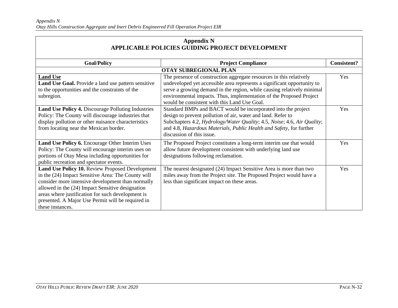| <b>Appendix N</b>                                      |
|--------------------------------------------------------|
| <b>APPLICABLE POLICIES GUIDING PROJECT DEVELOPMENT</b> |

| <b>Goal/Policy</b>                                                                                                                                                                                                                                                                                                                           | <b>Project Compliance</b>                                                                                                                                                                                                                                                                                                                       | <b>Consistent?</b> |
|----------------------------------------------------------------------------------------------------------------------------------------------------------------------------------------------------------------------------------------------------------------------------------------------------------------------------------------------|-------------------------------------------------------------------------------------------------------------------------------------------------------------------------------------------------------------------------------------------------------------------------------------------------------------------------------------------------|--------------------|
|                                                                                                                                                                                                                                                                                                                                              | <b>OTAY SUBREGIONAL PLAN</b>                                                                                                                                                                                                                                                                                                                    |                    |
| <b>Land Use</b><br>Land Use Goal. Provide a land use pattern sensitive<br>to the opportunities and the constraints of the<br>subregion.                                                                                                                                                                                                      | The presence of construction aggregate resources in this relatively<br>undeveloped yet accessible area represents a significant opportunity to<br>serve a growing demand in the region, while causing relatively minimal<br>environmental impacts. Thus, implementation of the Proposed Project<br>would be consistent with this Land Use Goal. | Yes                |
| <b>Land Use Policy 4.</b> Discourage Polluting Industries<br>Policy: The County will discourage industries that<br>display pollution or other nuisance characteristics<br>from locating near the Mexican border.                                                                                                                             | Standard BMPs and BACT would be incorporated into the project<br>design to prevent pollution of air, water and land. Refer to<br>Subchapters 4.2, Hydrology/Water Quality; 4.5, Noise; 4.6, Air Quality;<br>and 4.8, Hazardous Materials, Public Health and Safety, for further<br>discussion of this issue.                                    | Yes                |
| Land Use Policy 6. Encourage Other Interim Uses<br>Policy: The County will encourage interim uses on<br>portions of Otay Mesa including opportunities for<br>public recreation and spectator events.                                                                                                                                         | The Proposed Project constitutes a long-term interim use that would<br>allow future development consistent with underlying land use<br>designations following reclamation.                                                                                                                                                                      | Yes                |
| Land Use Policy 10. Review Proposed Development<br>in the (24) Impact Sensitive Area: The County will<br>consider more intensive development than normally<br>allowed in the (24) Impact Sensitive designation<br>areas where justification for such development is<br>presented. A Major Use Permit will be required in<br>these instances. | The nearest designated (24) Impact Sensitive Area is more than two<br>miles away from the Project site. The Proposed Project would have a<br>less than significant impact on these areas.                                                                                                                                                       | Yes                |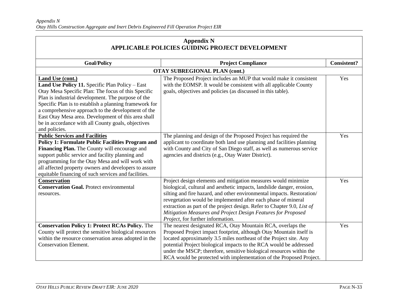| <b>Appendix N</b><br>APPLICABLE POLICIES GUIDING PROJECT DEVELOPMENT                                                                                                                                                                                                                                                                                                                                                           |                                                                                                                                                                                                                                                                                                                                                                                                                                                                     |                    |
|--------------------------------------------------------------------------------------------------------------------------------------------------------------------------------------------------------------------------------------------------------------------------------------------------------------------------------------------------------------------------------------------------------------------------------|---------------------------------------------------------------------------------------------------------------------------------------------------------------------------------------------------------------------------------------------------------------------------------------------------------------------------------------------------------------------------------------------------------------------------------------------------------------------|--------------------|
| <b>Goal/Policy</b>                                                                                                                                                                                                                                                                                                                                                                                                             | <b>Project Compliance</b>                                                                                                                                                                                                                                                                                                                                                                                                                                           | <b>Consistent?</b> |
|                                                                                                                                                                                                                                                                                                                                                                                                                                | <b>OTAY SUBREGIONAL PLAN (cont.)</b>                                                                                                                                                                                                                                                                                                                                                                                                                                |                    |
| Land Use (cont.)<br>Land Use Policy 11. Specific Plan Policy - East<br>Otay Mesa Specific Plan: The focus of this Specific<br>Plan is industrial development. The purpose of the<br>Specific Plan is to establish a planning framework for<br>a comprehensive approach to the development of the<br>East Otay Mesa area. Development of this area shall<br>be in accordance with all County goals, objectives<br>and policies. | The Proposed Project includes an MUP that would make it consistent<br>with the EOMSP. It would be consistent with all applicable County<br>goals, objectives and policies (as discussed in this table).                                                                                                                                                                                                                                                             | Yes                |
| <b>Public Services and Facilities</b><br><b>Policy 1: Formulate Public Facilities Program and</b><br>Financing Plan. The County will encourage and<br>support public service and facility planning and<br>programming for the Otay Mesa and will work with<br>all affected property owners and developers to assure<br>equitable financing of such services and facilities.                                                    | The planning and design of the Proposed Project has required the<br>applicant to coordinate both land use planning and facilities planning<br>with County and City of San Diego staff, as well as numerous service<br>agencies and districts (e.g., Otay Water District).                                                                                                                                                                                           | Yes                |
| <b>Conservation</b><br><b>Conservation Goal.</b> Protect environmental<br>resources.                                                                                                                                                                                                                                                                                                                                           | Project design elements and mitigation measures would minimize<br>biological, cultural and aesthetic impacts, landslide danger, erosion,<br>silting and fire hazard, and other environmental impacts. Restoration/<br>revegetation would be implemented after each phase of mineral<br>extraction as part of the project design. Refer to Chapter 9.0, List of<br>Mitigation Measures and Project Design Features for Proposed<br>Project, for further information. | Yes                |
| <b>Conservation Policy 1: Protect RCAs Policy.</b> The<br>County will protect the sensitive biological resources<br>within the resource conservation areas adopted in the<br><b>Conservation Element.</b>                                                                                                                                                                                                                      | The nearest designated RCA, Otay Mountain RCA, overlaps the<br>Proposed Project impact footprint, although Otay Mountain itself is<br>located approximately 3.5 miles northeast of the Project site. Any<br>potential Project biological impacts to the RCA would be addressed<br>under the MSCP; therefore, sensitive biological resources within the<br>RCA would be protected with implementation of the Proposed Project.                                       | Yes                |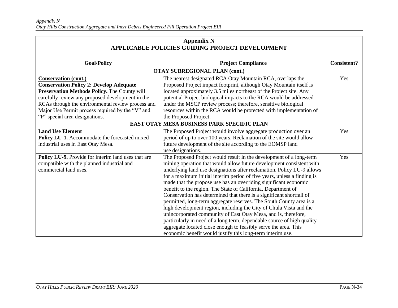| <b>Appendix N</b><br>APPLICABLE POLICIES GUIDING PROJECT DEVELOPMENT                                                                                                                        |                                                                                                                                                                                                                                                                                                                                                                                                                                                                                                                                                                                                                                                                                                                                                                                                                                                                                                                                         |                    |
|---------------------------------------------------------------------------------------------------------------------------------------------------------------------------------------------|-----------------------------------------------------------------------------------------------------------------------------------------------------------------------------------------------------------------------------------------------------------------------------------------------------------------------------------------------------------------------------------------------------------------------------------------------------------------------------------------------------------------------------------------------------------------------------------------------------------------------------------------------------------------------------------------------------------------------------------------------------------------------------------------------------------------------------------------------------------------------------------------------------------------------------------------|--------------------|
| <b>Goal/Policy</b>                                                                                                                                                                          | <b>Project Compliance</b>                                                                                                                                                                                                                                                                                                                                                                                                                                                                                                                                                                                                                                                                                                                                                                                                                                                                                                               | <b>Consistent?</b> |
|                                                                                                                                                                                             | <b>OTAY SUBREGIONAL PLAN (cont.)</b>                                                                                                                                                                                                                                                                                                                                                                                                                                                                                                                                                                                                                                                                                                                                                                                                                                                                                                    |                    |
| <b>Conservation (cont.)</b><br><b>Conservation Policy 2: Develop Adequate</b><br>Preservation Methods Policy. The County will                                                               | The nearest designated RCA Otay Mountain RCA, overlaps the<br>Proposed Project impact footprint, although Otay Mountain itself is<br>located approximately 3.5 miles northeast of the Project site. Any                                                                                                                                                                                                                                                                                                                                                                                                                                                                                                                                                                                                                                                                                                                                 | Yes                |
| carefully review any proposed development in the<br>RCAs through the environmental review process and<br>Major Use Permit process required by the "V" and<br>"P" special area designations. | potential Project biological impacts to the RCA would be addressed<br>under the MSCP review process; therefore, sensitive biological<br>resources within the RCA would be protected with implementation of<br>the Proposed Project.                                                                                                                                                                                                                                                                                                                                                                                                                                                                                                                                                                                                                                                                                                     |                    |
|                                                                                                                                                                                             | EAST OTAY MESA BUSINESS PARK SPECIFIC PLAN                                                                                                                                                                                                                                                                                                                                                                                                                                                                                                                                                                                                                                                                                                                                                                                                                                                                                              |                    |
| <b>Land Use Element</b><br>Policy LU-1. Accommodate the forecasted mixed<br>industrial uses in East Otay Mesa.                                                                              | The Proposed Project would involve aggregate production over an<br>period of up to over 100 years. Reclamation of the site would allow<br>future development of the site according to the EOMSP land<br>use designations.                                                                                                                                                                                                                                                                                                                                                                                                                                                                                                                                                                                                                                                                                                               | Yes                |
| Policy LU-9. Provide for interim land uses that are<br>compatible with the planned industrial and<br>commercial land uses.                                                                  | The Proposed Project would result in the development of a long-term<br>mining operation that would allow future development consistent with<br>underlying land use designations after reclamation. Policy LU-9 allows<br>for a maximum initial interim period of five years, unless a finding is<br>made that the propose use has an overriding significant economic<br>benefit to the region. The State of California, Department of<br>Conservation has determined that there is a significant shortfall of<br>permitted, long-term aggregate reserves. The South County area is a<br>high development region, including the City of Chula Vista and the<br>unincorporated community of East Otay Mesa, and is, therefore,<br>particularly in need of a long term, dependable source of high quality<br>aggregate located close enough to feasibly serve the area. This<br>economic benefit would justify this long-term interim use. | Yes                |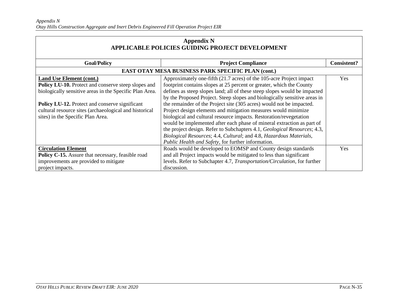| <b>Appendix N</b><br>APPLICABLE POLICIES GUIDING PROJECT DEVELOPMENT                                                                                                                                                                                                                                      |                                                                                                                                                                                                                                                                                                                                                                                                                                                                                                                                                                                                                                                                                                                                                   |                    |
|-----------------------------------------------------------------------------------------------------------------------------------------------------------------------------------------------------------------------------------------------------------------------------------------------------------|---------------------------------------------------------------------------------------------------------------------------------------------------------------------------------------------------------------------------------------------------------------------------------------------------------------------------------------------------------------------------------------------------------------------------------------------------------------------------------------------------------------------------------------------------------------------------------------------------------------------------------------------------------------------------------------------------------------------------------------------------|--------------------|
| <b>Goal/Policy</b>                                                                                                                                                                                                                                                                                        | <b>Project Compliance</b>                                                                                                                                                                                                                                                                                                                                                                                                                                                                                                                                                                                                                                                                                                                         | <b>Consistent?</b> |
|                                                                                                                                                                                                                                                                                                           | EAST OTAY MESA BUSINESS PARK SPECIFIC PLAN (cont.)                                                                                                                                                                                                                                                                                                                                                                                                                                                                                                                                                                                                                                                                                                |                    |
| <b>Land Use Element (cont.)</b><br><b>Policy LU-10.</b> Protect and conserve steep slopes and<br>biologically sensitive areas in the Specific Plan Area.<br>Policy LU-12. Protect and conserve significant<br>cultural resource sites (archaeological and historical<br>sites) in the Specific Plan Area. | Approximately one-fifth (21.7 acres) of the 105-acre Project impact<br>footprint contains slopes at 25 percent or greater, which the County<br>defines as steep slopes land; all of these steep slopes would be impacted<br>by the Proposed Project. Steep slopes and biologically sensitive areas in<br>the remainder of the Project site (305 acres) would not be impacted.<br>Project design elements and mitigation measures would minimize<br>biological and cultural resource impacts. Restoration/revegetation<br>would be implemented after each phase of mineral extraction as part of<br>the project design. Refer to Subchapters 4.1, Geological Resources; 4.3,<br>Biological Resources; 4.4, Cultural; and 4.8, Hazardous Materials, | Yes                |
| <b>Circulation Element</b>                                                                                                                                                                                                                                                                                | Public Health and Safety, for further information.<br>Roads would be developed to EOMSP and County design standards                                                                                                                                                                                                                                                                                                                                                                                                                                                                                                                                                                                                                               | <b>Yes</b>         |
| Policy C-15. Assure that necessary, feasible road<br>improvements are provided to mitigate<br>project impacts.                                                                                                                                                                                            | and all Project impacts would be mitigated to less than significant<br>levels. Refer to Subchapter 4.7, Transportation/Circulation, for further<br>discussion.                                                                                                                                                                                                                                                                                                                                                                                                                                                                                                                                                                                    |                    |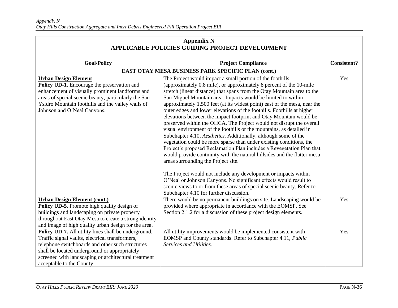| <b>Appendix N</b><br><b>APPLICABLE POLICIES GUIDING PROJECT DEVELOPMENT</b>                                                                                                                                                                                                                       |                                                                                                                                                                                                                                                                                                                                                                                                                                                                                                                                                                                                                                                                                                                                                                                                                                                                                                                                                                                                                                                                                                                                                                                                                                                             |                    |
|---------------------------------------------------------------------------------------------------------------------------------------------------------------------------------------------------------------------------------------------------------------------------------------------------|-------------------------------------------------------------------------------------------------------------------------------------------------------------------------------------------------------------------------------------------------------------------------------------------------------------------------------------------------------------------------------------------------------------------------------------------------------------------------------------------------------------------------------------------------------------------------------------------------------------------------------------------------------------------------------------------------------------------------------------------------------------------------------------------------------------------------------------------------------------------------------------------------------------------------------------------------------------------------------------------------------------------------------------------------------------------------------------------------------------------------------------------------------------------------------------------------------------------------------------------------------------|--------------------|
|                                                                                                                                                                                                                                                                                                   |                                                                                                                                                                                                                                                                                                                                                                                                                                                                                                                                                                                                                                                                                                                                                                                                                                                                                                                                                                                                                                                                                                                                                                                                                                                             |                    |
| <b>Goal/Policy</b>                                                                                                                                                                                                                                                                                | <b>Project Compliance</b>                                                                                                                                                                                                                                                                                                                                                                                                                                                                                                                                                                                                                                                                                                                                                                                                                                                                                                                                                                                                                                                                                                                                                                                                                                   | <b>Consistent?</b> |
| EAST OTAY MESA BUSINESS PARK SPECIFIC PLAN (cont.)                                                                                                                                                                                                                                                |                                                                                                                                                                                                                                                                                                                                                                                                                                                                                                                                                                                                                                                                                                                                                                                                                                                                                                                                                                                                                                                                                                                                                                                                                                                             |                    |
| <b>Urban Design Element</b><br>Policy UD-1. Encourage the preservation and<br>enhancement of visually prominent landforms and<br>areas of special scenic beauty, particularly the San<br>Ysidro Mountain foothills and the valley walls of<br>Johnson and O'Neal Canyons.                         | The Project would impact a small portion of the foothills<br>(approximately 0.8 mile), or approximately 8 percent of the 10-mile<br>stretch (linear distance) that spans from the Otay Mountain area to the<br>San Miguel Mountain area. Impacts would be limited to within<br>approximately 1,500 feet (at its widest point) east of the mesa, near the<br>outer edges and lower elevations of the foothills. Foothills at higher<br>elevations between the impact footprint and Otay Mountain would be<br>preserved within the OHCA. The Project would not disrupt the overall<br>visual environment of the foothills or the mountains, as detailed in<br>Subchapter 4.10, Aesthetics. Additionally, although some of the<br>vegetation could be more sparse than under existing conditions, the<br>Project's proposed Reclamation Plan includes a Revegetation Plan that<br>would provide continuity with the natural hillsides and the flatter mesa<br>areas surrounding the Project site.<br>The Project would not include any development or impacts within<br>O'Neal or Johnson Canyons. No significant effects would result to<br>scenic views to or from these areas of special scenic beauty. Refer to<br>Subchapter 4.10 for further discussion. | Yes                |
| <b>Urban Design Element (cont.)</b><br>Policy UD-5. Promote high quality design of<br>buildings and landscaping on private property<br>throughout East Otay Mesa to create a strong identity<br>and image of high quality urban design for the area.                                              | There would be no permanent buildings on site. Landscaping would be<br>provided where appropriate in accordance with the EOMSP. See<br>Section 2.1.2 for a discussion of these project design elements.                                                                                                                                                                                                                                                                                                                                                                                                                                                                                                                                                                                                                                                                                                                                                                                                                                                                                                                                                                                                                                                     | Yes                |
| Policy UD-7. All utility lines shall be underground.<br>Traffic signal vaults, electrical transformers,<br>telephone switchboards and other such structures<br>shall be located underground or appropriately<br>screened with landscaping or architectural treatment<br>acceptable to the County. | All utility improvements would be implemented consistent with<br>EOMSP and County standards. Refer to Subchapter 4.11, Public<br>Services and Utilities.                                                                                                                                                                                                                                                                                                                                                                                                                                                                                                                                                                                                                                                                                                                                                                                                                                                                                                                                                                                                                                                                                                    | Yes                |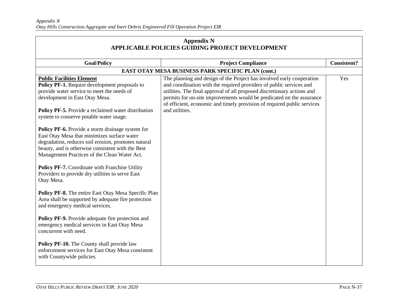| <b>Appendix N</b><br><b>APPLICABLE POLICIES GUIDING PROJECT DEVELOPMENT</b>                                                                                                                                                                                                                                                                                                                                                                                                                                                                                                                                                                                                                                                                                                                                                                                                                                                                                                                                                                                                    |                                                                                                                                                                                                                                                                                                                                                                                               |                    |  |
|--------------------------------------------------------------------------------------------------------------------------------------------------------------------------------------------------------------------------------------------------------------------------------------------------------------------------------------------------------------------------------------------------------------------------------------------------------------------------------------------------------------------------------------------------------------------------------------------------------------------------------------------------------------------------------------------------------------------------------------------------------------------------------------------------------------------------------------------------------------------------------------------------------------------------------------------------------------------------------------------------------------------------------------------------------------------------------|-----------------------------------------------------------------------------------------------------------------------------------------------------------------------------------------------------------------------------------------------------------------------------------------------------------------------------------------------------------------------------------------------|--------------------|--|
| <b>Goal/Policy</b>                                                                                                                                                                                                                                                                                                                                                                                                                                                                                                                                                                                                                                                                                                                                                                                                                                                                                                                                                                                                                                                             | <b>Project Compliance</b>                                                                                                                                                                                                                                                                                                                                                                     | <b>Consistent?</b> |  |
|                                                                                                                                                                                                                                                                                                                                                                                                                                                                                                                                                                                                                                                                                                                                                                                                                                                                                                                                                                                                                                                                                | EAST OTAY MESA BUSINESS PARK SPECIFIC PLAN (cont.)                                                                                                                                                                                                                                                                                                                                            |                    |  |
| <b>Public Facilities Element</b><br>Policy PF-1. Require development proposals to<br>provide water service to meet the needs of<br>development in East Otay Mesa.<br>Policy PF-5. Provide a reclaimed water distribution<br>system to conserve potable water usage.<br>Policy PF-6. Provide a storm drainage system for<br>East Otay Mesa that minimizes surface water<br>degradation, reduces soil erosion, promotes natural<br>beauty, and is otherwise consistent with the Best<br>Management Practices of the Clean Water Act.<br>Policy PF-7. Coordinate with Franchise Utility<br>Providers to provide dry utilities to serve East<br>Otay Mesa.<br><b>Policy PF-8.</b> The entire East Otay Mesa Specific Plan<br>Area shall be supported by adequate fire protection<br>and emergency medical services.<br>Policy PF-9. Provide adequate fire protection and<br>emergency medical services in East Otay Mesa<br>concurrent with need.<br>Policy PF-10. The County shall provide law<br>enforcement services for East Otay Mesa consistent<br>with Countywide policies. | The planning and design of the Project has involved early cooperation<br>and coordination with the required providers of public services and<br>utilities. The final approval of all proposed discretionary actions and<br>permits for on-site improvements would be predicated on the assurance<br>of efficient, economic and timely provision of required public services<br>and utilities. | Yes                |  |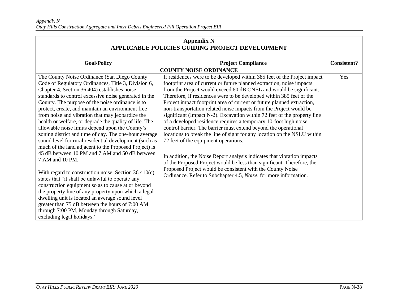| <b>Appendix N</b><br>APPLICABLE POLICIES GUIDING PROJECT DEVELOPMENT                                                                                                                                                                                                                                                                                                                                                                                                                                                                                                                                                                                                                                                                                                                                                                                                                                                                                                                                                                                                                                                                               |                                                                                                                                                                                                                                                                                                                                                                                                                                                                                                                                                                                                                                                                                                                                                                                                                                                                                                                                                                                                                                                                               |                    |
|----------------------------------------------------------------------------------------------------------------------------------------------------------------------------------------------------------------------------------------------------------------------------------------------------------------------------------------------------------------------------------------------------------------------------------------------------------------------------------------------------------------------------------------------------------------------------------------------------------------------------------------------------------------------------------------------------------------------------------------------------------------------------------------------------------------------------------------------------------------------------------------------------------------------------------------------------------------------------------------------------------------------------------------------------------------------------------------------------------------------------------------------------|-------------------------------------------------------------------------------------------------------------------------------------------------------------------------------------------------------------------------------------------------------------------------------------------------------------------------------------------------------------------------------------------------------------------------------------------------------------------------------------------------------------------------------------------------------------------------------------------------------------------------------------------------------------------------------------------------------------------------------------------------------------------------------------------------------------------------------------------------------------------------------------------------------------------------------------------------------------------------------------------------------------------------------------------------------------------------------|--------------------|
| <b>Goal/Policy</b>                                                                                                                                                                                                                                                                                                                                                                                                                                                                                                                                                                                                                                                                                                                                                                                                                                                                                                                                                                                                                                                                                                                                 | <b>Project Compliance</b>                                                                                                                                                                                                                                                                                                                                                                                                                                                                                                                                                                                                                                                                                                                                                                                                                                                                                                                                                                                                                                                     | <b>Consistent?</b> |
|                                                                                                                                                                                                                                                                                                                                                                                                                                                                                                                                                                                                                                                                                                                                                                                                                                                                                                                                                                                                                                                                                                                                                    | <b>COUNTY NOISE ORDINANCE</b>                                                                                                                                                                                                                                                                                                                                                                                                                                                                                                                                                                                                                                                                                                                                                                                                                                                                                                                                                                                                                                                 |                    |
| The County Noise Ordinance (San Diego County<br>Code of Regulatory Ordinances, Title 3, Division 6,<br>Chapter 4, Section 36.404) establishes noise<br>standards to control excessive noise generated in the<br>County. The purpose of the noise ordinance is to<br>protect, create, and maintain an environment free<br>from noise and vibration that may jeopardize the<br>health or welfare, or degrade the quality of life. The<br>allowable noise limits depend upon the County's<br>zoning district and time of day. The one-hour average<br>sound level for rural residential development (such as<br>much of the land adjacent to the Proposed Project) is<br>45 dB between 10 PM and 7 AM and 50 dB between<br>7 AM and 10 PM.<br>With regard to construction noise, Section 36.410(c)<br>states that "it shall be unlawful to operate any<br>construction equipment so as to cause at or beyond<br>the property line of any property upon which a legal<br>dwelling unit is located an average sound level<br>greater than 75 dB between the hours of 7:00 AM<br>through 7:00 PM, Monday through Saturday,<br>excluding legal holidays." | If residences were to be developed within 385 feet of the Project impact<br>footprint area of current or future planned extraction, noise impacts<br>from the Project would exceed 60 dB CNEL and would be significant.<br>Therefore, if residences were to be developed within 385 feet of the<br>Project impact footprint area of current or future planned extraction,<br>non-transportation related noise impacts from the Project would be<br>significant (Impact N-2). Excavation within 72 feet of the property line<br>of a developed residence requires a temporary 10-foot high noise<br>control barrier. The barrier must extend beyond the operational<br>locations to break the line of sight for any location on the NSLU within<br>72 feet of the equipment operations.<br>In addition, the Noise Report analysis indicates that vibration impacts<br>of the Proposed Project would be less than significant. Therefore, the<br>Proposed Project would be consistent with the County Noise<br>Ordinance. Refer to Subchapter 4.5, Noise, for more information. | Yes                |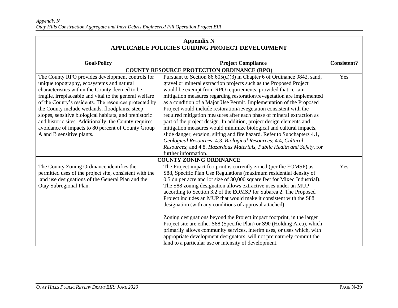| <b>Appendix N</b><br>APPLICABLE POLICIES GUIDING PROJECT DEVELOPMENT                                                                                                                                                                                                                                                                                                                                                                                                                                                         |                                                                                                                                                                                                                                                                                                                                                                                                                                                                                                                                                                                                                                                                                                                                                                                                                                                                                        |                    |
|------------------------------------------------------------------------------------------------------------------------------------------------------------------------------------------------------------------------------------------------------------------------------------------------------------------------------------------------------------------------------------------------------------------------------------------------------------------------------------------------------------------------------|----------------------------------------------------------------------------------------------------------------------------------------------------------------------------------------------------------------------------------------------------------------------------------------------------------------------------------------------------------------------------------------------------------------------------------------------------------------------------------------------------------------------------------------------------------------------------------------------------------------------------------------------------------------------------------------------------------------------------------------------------------------------------------------------------------------------------------------------------------------------------------------|--------------------|
| <b>Goal/Policy</b>                                                                                                                                                                                                                                                                                                                                                                                                                                                                                                           | <b>Project Compliance</b>                                                                                                                                                                                                                                                                                                                                                                                                                                                                                                                                                                                                                                                                                                                                                                                                                                                              | <b>Consistent?</b> |
| <b>COUNTY RESOURCE PROTECTION ORDINANCE (RPO)</b>                                                                                                                                                                                                                                                                                                                                                                                                                                                                            |                                                                                                                                                                                                                                                                                                                                                                                                                                                                                                                                                                                                                                                                                                                                                                                                                                                                                        |                    |
| The County RPO provides development controls for<br>unique topography, ecosystems and natural<br>characteristics within the County deemed to be<br>fragile, irreplaceable and vital to the general welfare<br>of the County's residents. The resources protected by<br>the County include wetlands, floodplains, steep<br>slopes, sensitive biological habitats, and prehistoric<br>and historic sites. Additionally, the County requires<br>avoidance of impacts to 80 percent of County Group<br>A and B sensitive plants. | Pursuant to Section 86.605(d)(3) in Chapter 6 of Ordinance 9842, sand,<br>gravel or mineral extraction projects such as the Proposed Project<br>would be exempt from RPO requirements, provided that certain<br>mitigation measures regarding restoration/revegetation are implemented<br>as a condition of a Major Use Permit. Implementation of the Proposed<br>Project would include restoration/revegetation consistent with the<br>required mitigation measures after each phase of mineral extraction as<br>part of the project design. In addition, project design elements and<br>mitigation measures would minimize biological and cultural impacts,<br>slide danger, erosion, silting and fire hazard. Refer to Subchapters 4.1,<br>Geological Resources; 4.3, Biological Resources; 4.4, Cultural<br>Resources; and 4.8, Hazardous Materials, Public Health and Safety, for | Yes                |
| further information.<br><b>COUNTY ZONING ORDINANCE</b>                                                                                                                                                                                                                                                                                                                                                                                                                                                                       |                                                                                                                                                                                                                                                                                                                                                                                                                                                                                                                                                                                                                                                                                                                                                                                                                                                                                        |                    |
| The County Zoning Ordinance identifies the<br>permitted uses of the project site, consistent with the<br>land use designations of the General Plan and the<br>Otay Subregional Plan.                                                                                                                                                                                                                                                                                                                                         | The Project impact footprint is currently zoned (per the EOMSP) as<br>S88, Specific Plan Use Regulations (maximum residential density of<br>0.5 du per acre and lot size of 30,000 square feet for Mixed Industrial).<br>The S88 zoning designation allows extractive uses under an MUP<br>according to Section 3.2 of the EOMSP for Subarea 2. The Proposed<br>Project includes an MUP that would make it consistent with the S88<br>designation (with any conditions of approval attached).<br>Zoning designations beyond the Project impact footprint, in the larger<br>Project site are either S88 (Specific Plan) or S90 (Holding Area), which<br>primarily allows community services, interim uses, or uses which, with<br>appropriate development designators, will not prematurely commit the<br>land to a particular use or intensity of development.                         | Yes                |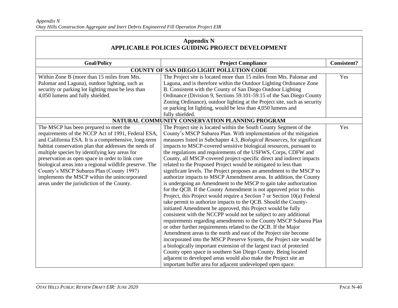| <b>Appendix N</b>                                       |                                                                           |                    |
|---------------------------------------------------------|---------------------------------------------------------------------------|--------------------|
| <b>APPLICABLE POLICIES GUIDING PROJECT DEVELOPMENT</b>  |                                                                           |                    |
| <b>Goal/Policy</b>                                      | <b>Project Compliance</b>                                                 | <b>Consistent?</b> |
|                                                         | COUNTY OF SAN DIEGO LIGHT POLLUTION CODE                                  |                    |
|                                                         |                                                                           | Yes                |
| Within Zone B (more than 15 miles from Mts.             | The Project site is located more than 15 miles from Mts. Palomar and      |                    |
| Palomar and Laguna), outdoor lighting, such as          | Laguna, and is therefore within the Outdoor Lighting Ordinance Zone       |                    |
| security or parking lot lighting must be less than      | B. Consistent with the County of San Diego Outdoor Lighting               |                    |
| 4,050 lumens and fully shielded.                        | Ordinance (Division 9, Sections 59.101-59.15 of the San Diego County      |                    |
|                                                         | Zoning Ordinance), outdoor lighting at the Project site, such as security |                    |
|                                                         | or parking lot lighting, would be less than 4,050 lumens and              |                    |
|                                                         | fully shielded.                                                           |                    |
|                                                         | NATURAL COMMUNITY CONSERVATION PLANNING PROGRAM                           |                    |
| The MSCP has been prepared to meet the                  | The Project site is located within the South County Segment of the        | Yes                |
| requirements of the NCCP Act of 1991, Federal ESA,      | County's MSCP Subarea Plan. With implementation of the mitigation         |                    |
| and California ESA. It is a comprehensive, long-term    | measures listed in Subchapter 4.3, Biological Resources, for significant  |                    |
| habitat conservation plan that addresses the needs of   | impacts to MSCP-covered sensitive biological resources, pursuant to       |                    |
| multiple species by identifying key areas for           | the regulations and requirements of the USFWS, Corps, CDFW and            |                    |
| preservation as open space in order to link core        | County, all MSCP-covered project-specific direct and indirect impacts     |                    |
| biological areas into a regional wildlife preserve. The | related to the Proposed Project would be mitigated to less than           |                    |
| County's MSCP Subarea Plan (County 1997)                | significant levels. The Project proposes an amendment to the MSCP to      |                    |
| implements the MSCP within the unincorporated           | authorize impacts to MSCP Amendment areas. In addition, the County        |                    |
| areas under the jurisdiction of the County.             | is undergoing an Amendment to the MSCP to gain take authorization         |                    |
|                                                         | for the QCB. If the County Amendment is not approved prior to this        |                    |
|                                                         | Project, this Project would require a Section 7 or Section 10(a) Federal  |                    |
|                                                         | take permit to authorize impacts to the QCB. Should the County-           |                    |
|                                                         | initiated Amendment be approved, this Project would be fully              |                    |
|                                                         | consistent with the NCCPP would not be subject to any additional          |                    |
|                                                         | requirements regarding amendments to the County MSCP Subarea Plan         |                    |
|                                                         | or other further requirements related to the QCB. If the Major            |                    |
|                                                         | Amendment areas to the north and east of the Project site become          |                    |
|                                                         | incorporated into the MSCP Preserve System, the Project site would be     |                    |
|                                                         | a biologically important extension of the largest tract of protected      |                    |
|                                                         | County open space in southern San Diego County. Being located             |                    |
|                                                         | adjacent to developed areas would also make the Project site an           |                    |
|                                                         | important buffer area for adjacent undeveloped open space.                |                    |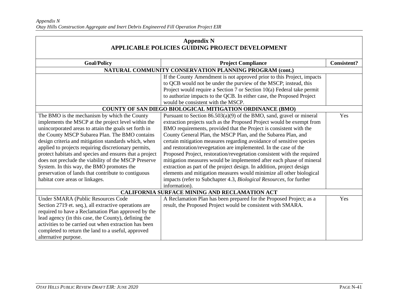| <b>Appendix N</b><br><b>APPLICABLE POLICIES GUIDING PROJECT DEVELOPMENT</b> |                                                                         |                    |
|-----------------------------------------------------------------------------|-------------------------------------------------------------------------|--------------------|
|                                                                             |                                                                         |                    |
| <b>Goal/Policy</b>                                                          | <b>Project Compliance</b>                                               | <b>Consistent?</b> |
|                                                                             | NATURAL COMMUNITY CONSERVATION PLANNING PROGRAM (cont.)                 |                    |
|                                                                             | If the County Amendment is not approved prior to this Project, impacts  |                    |
|                                                                             | to QCB would not be under the purview of the MSCP; instead, this        |                    |
|                                                                             | Project would require a Section 7 or Section 10(a) Federal take permit  |                    |
|                                                                             | to authorize impacts to the QCB. In either case, the Proposed Project   |                    |
|                                                                             | would be consistent with the MSCP.                                      |                    |
|                                                                             | COUNTY OF SAN DIEGO BIOLOGICAL MITIGATION ORDINANCE (BMO)               |                    |
| The BMO is the mechanism by which the County                                | Pursuant to Section $86.503(a)(9)$ of the BMO, sand, gravel or mineral  | Yes                |
| implements the MSCP at the project level within the                         | extraction projects such as the Proposed Project would be exempt from   |                    |
| unincorporated areas to attain the goals set forth in                       | BMO requirements, provided that the Project is consistent with the      |                    |
| the County MSCP Subarea Plan. The BMO contains                              | County General Plan, the MSCP Plan, and the Subarea Plan, and           |                    |
| design criteria and mitigation standards which, when                        | certain mitigation measures regarding avoidance of sensitive species    |                    |
| applied to projects requiring discretionary permits,                        | and restoration/revegetation are implemented. In the case of the        |                    |
| protect habitats and species and ensures that a project                     | Proposed Project, restoration/revegetation consistent with the required |                    |
| does not preclude the viability of the MSCP Preserve                        | mitigation measures would be implemented after each phase of mineral    |                    |
| System. In this way, the BMO promotes the                                   | extraction as part of the project design. In addition, project design   |                    |
| preservation of lands that contribute to contiguous                         | elements and mitigation measures would minimize all other biological    |                    |
| habitat core areas or linkages.                                             | impacts (refer to Subchapter 4.3, Biological Resources, for further     |                    |
|                                                                             | information).                                                           |                    |
|                                                                             | <b>CALIFORNIA SURFACE MINING AND RECLAMATION ACT</b>                    |                    |
| <b>Under SMARA (Public Resources Code</b>                                   | A Reclamation Plan has been prepared for the Proposed Project; as a     | Yes                |
| Section 2719 et. seq.), all extractive operations are                       | result, the Proposed Project would be consistent with SMARA.            |                    |
| required to have a Reclamation Plan approved by the                         |                                                                         |                    |
| lead agency (in this case, the County), defining the                        |                                                                         |                    |
| activities to be carried out when extraction has been                       |                                                                         |                    |
| completed to return the land to a useful, approved                          |                                                                         |                    |
| alternative purpose.                                                        |                                                                         |                    |